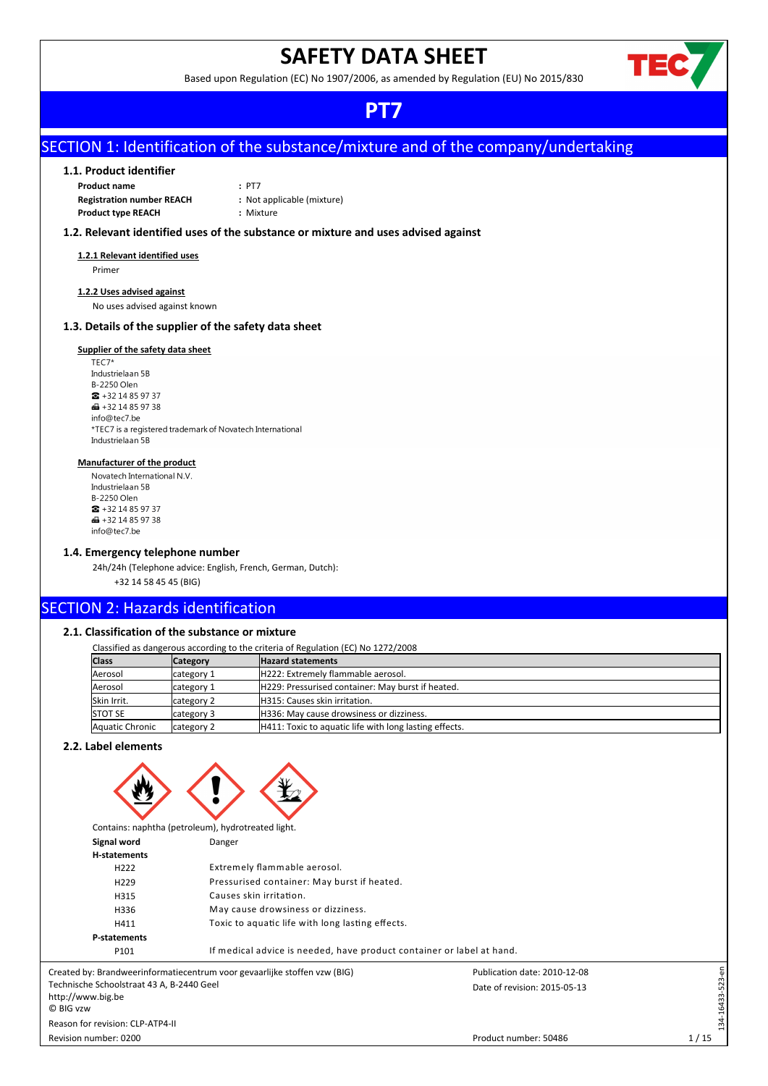# **SAFETY DATA SHEET**

Based upon Regulation (EC) No 1907/2006, as amended by Regulation (EU) No 2015/830



# **PT7**

# SECTION 1: Identification of the substance/mixture and of the company/undertaking

# **1.1. Product identifier**

| <b>Product name</b>              | $:$ PT7                    |
|----------------------------------|----------------------------|
| <b>Registration number REACH</b> | : Not applicable (mixture) |
| <b>Product type REACH</b>        | : Mixture                  |

# **1.2. Relevant identified uses of the substance or mixture and uses advised against**

**1.2.1 Relevant identified uses** Primer

# **1.2.2 Uses advised against**

No uses advised against known

# **1.3. Details of the supplier of the safety data sheet**

# **Supplier of the safety data sheet**

TEC7\* Industrielaan 5B B-2250 Olen  $\bullet$  +32 14 85 97 37 ■ +32 14 85 97 38 info@tec7.be \*TEC7 is a registered trademark of Novatech International Industrielaan 5B

### **Manufacturer of the product**

Novatech International N.V. Industrielaan 5B B-2250 Olen  $\bullet$  +32 14 85 97 37  $\frac{1}{2}$  + 32 14 85 97 38 info@tec7.be

# **1.4. Emergency telephone number**

24h/24h (Telephone advice: English, French, German, Dutch):

+32 14 58 45 45 (BIG)

# SECTION 2: Hazards identification

# **2.1. Classification of the substance or mixture**

Classified as dangerous according to the criteria of Regulation (EC) No 1272/2008

| <b>Class</b>    | <b>Category</b> | <b>Hazard statements</b>                               |  |
|-----------------|-----------------|--------------------------------------------------------|--|
| Aerosol         | category 1      | H222: Extremely flammable aerosol.                     |  |
| Aerosol         | category 1      | H229: Pressurised container: May burst if heated.      |  |
| Skin Irrit.     | category 2      | H315: Causes skin irritation.                          |  |
| <b>STOT SE</b>  | category 3      | H336: May cause drowsiness or dizziness.               |  |
| Aquatic Chronic | category 2      | H411: Toxic to aquatic life with long lasting effects. |  |

# **2.2. Label elements**



|                                    | Contains: naphtha (petroleum), hydrotreated light.                    |                              |             |
|------------------------------------|-----------------------------------------------------------------------|------------------------------|-------------|
| Signal word                        | Danger                                                                |                              |             |
| <b>H-statements</b>                |                                                                       |                              |             |
| H <sub>222</sub>                   | Extremely flammable aerosol.                                          |                              |             |
| H <sub>229</sub>                   | Pressurised container: May burst if heated.                           |                              |             |
| H315                               | Causes skin irritation.                                               |                              |             |
| H336                               | May cause drowsiness or dizziness.                                    |                              |             |
| H411                               | Toxic to aquatic life with long lasting effects.                      |                              |             |
| <b>P-statements</b>                |                                                                       |                              |             |
| P101                               | If medical advice is needed, have product container or label at hand. |                              |             |
|                                    | d by: Brandweerinformatiecentrum voor gevaarlijke stoffen vzw (BIG)   | Publication date: 2010-12-08 | $23$ -en    |
| che Schoolstraat 43 A, B-2440 Geel |                                                                       | Date of revision: 2015-05-13 |             |
| www.big.be                         |                                                                       |                              | 134-16433-5 |
| /ZW                                |                                                                       |                              |             |
| for revision: CLP-ATP4-II          |                                                                       |                              |             |

Created by: Brandweerinformatiecentrum voor gevaarlijke stoffen vzw (BIG) Technische Schoolstraat 43 A, B-2440 Geel http://www.big.be © BIG vzw Reason for revision: CLP-ATP4-II

Revision number: 0200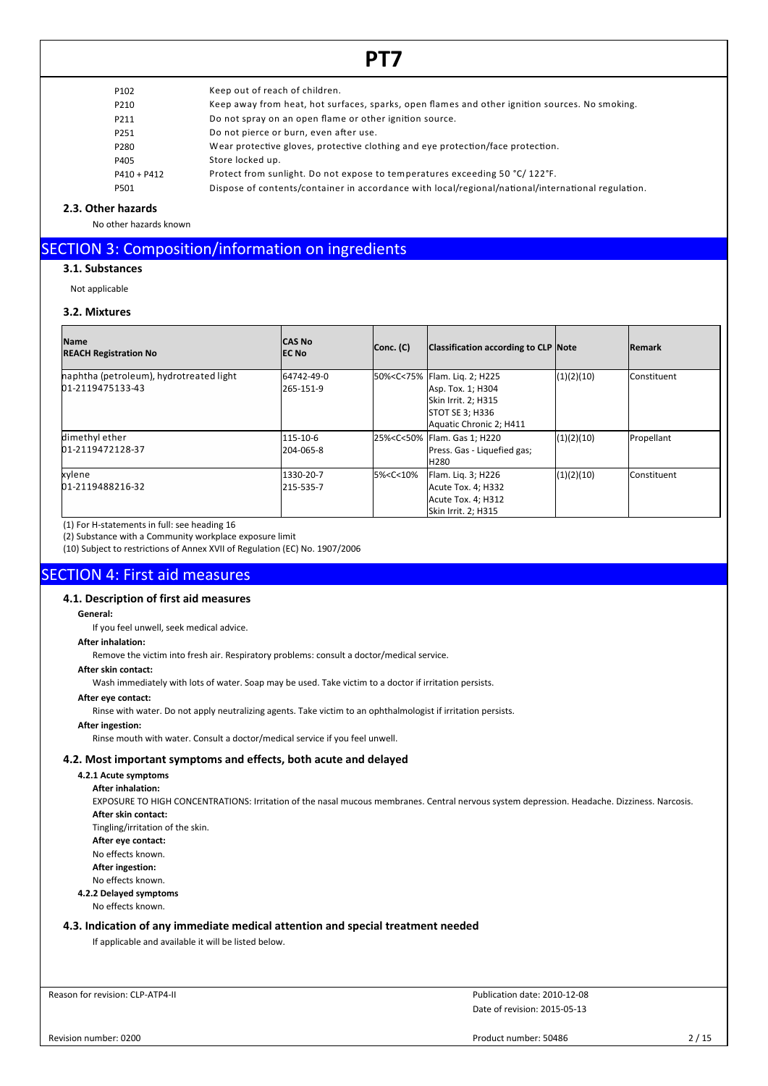| P <sub>102</sub> | Keep out of reach of children.                                                                     |
|------------------|----------------------------------------------------------------------------------------------------|
| P210             | Keep away from heat, hot surfaces, sparks, open flames and other ignition sources. No smoking.     |
| P211             | Do not spray on an open flame or other ignition source.                                            |
| P251             | Do not pierce or burn, even after use.                                                             |
| P280             | Wear protective gloves, protective clothing and eye protection/face protection.                    |
| P405             | Store locked up.                                                                                   |
| $P410 + P412$    | Protect from sunlight. Do not expose to temperatures exceeding 50 °C/122°F.                        |
| P501             | Dispose of contents/container in accordance with local/regional/national/international regulation. |
|                  |                                                                                                    |

# **2.3. Other hazards**

No other hazards known

# SECTION 3: Composition/information on ingredients

**3.1. Substances**

Not applicable

# **3.2. Mixtures**

| <b>Name</b><br><b>REACH Registration No</b>                 | <b>CAS No</b><br><b>IEC No</b> | Conc. (C)                                                                                                                                                                  | <b>Classification according to CLP Note</b>                                                                                                                |            | <b>IRemark</b>       |
|-------------------------------------------------------------|--------------------------------|----------------------------------------------------------------------------------------------------------------------------------------------------------------------------|------------------------------------------------------------------------------------------------------------------------------------------------------------|------------|----------------------|
| haphtha (petroleum), hydrotreated light<br>01-2119475133-43 | 64742-49-0<br>265-151-9        |                                                                                                                                                                            | 50% <c<75% 2;="" flam.="" h225<br="" liq.=""  ="">Asp. Tox. 1; H304<br/>Skin Irrit. 2; H315<br/><b>STOT SE 3; H336</b><br/>Aquatic Chronic 2; H411</c<75%> | (1)(2)(10) | Constituent          |
| dimethyl ether<br>01-2119472128-37                          | 115-10-6<br>l204-065-8         |                                                                                                                                                                            | 25% <c<50% 1;="" flam.="" gas="" h220<br=""  ="">Press. Gas - Liquefied gas;<br/>H<sub>280</sub></c<50%>                                                   | (1)(2)(10) | Propellant           |
| kylene<br>01-2119488216-32                                  | 1330-20-7<br>215-535-7         | 5% <c<10%< td=""><td>Flam. Lig. 3; H226<br/>Acute Tox. 4; H332<br/>Acute Tox. 4; H312<br/>Skin Irrit. 2; H315</td><td>(1)(2)(10)</td><td><b>I</b>Constituent</td></c<10%<> | Flam. Lig. 3; H226<br>Acute Tox. 4; H332<br>Acute Tox. 4; H312<br>Skin Irrit. 2; H315                                                                      | (1)(2)(10) | <b>I</b> Constituent |

(1) For H-statements in full: see heading 16

(2) Substance with a Community workplace exposure limit

(10) Subject to restrictions of Annex XVII of Regulation (EC) No. 1907/2006

# SECTION 4: First aid measures

# **4.1. Description of first aid measures**

### **General:**

If you feel unwell, seek medical advice.

# **After inhalation:**

Remove the victim into fresh air. Respiratory problems: consult a doctor/medical service.

### **After skin contact:**

Wash immediately with lots of water. Soap may be used. Take victim to a doctor if irritation persists.

**After eye contact:**

Rinse with water. Do not apply neutralizing agents. Take victim to an ophthalmologist if irritation persists.

# **After ingestion:**

Rinse mouth with water. Consult a doctor/medical service if you feel unwell.

# **4.2. Most important symptoms and effects, both acute and delayed**

**4.2.1 Acute symptoms**

**After inhalation:**

EXPOSURE TO HIGH CONCENTRATIONS: Irritation of the nasal mucous membranes. Central nervous system depression. Headache. Dizziness. Narcosis. **After skin contact:** Tingling/irritation of the skin.

**After eye contact:**

No effects known.

**After ingestion:**

No effects known.

# **4.2.2 Delayed symptoms**

No effects known.

# **4.3. Indication of any immediate medical attention and special treatment needed**

If applicable and available it will be listed below.

Reason for revision: CLP-ATP4-II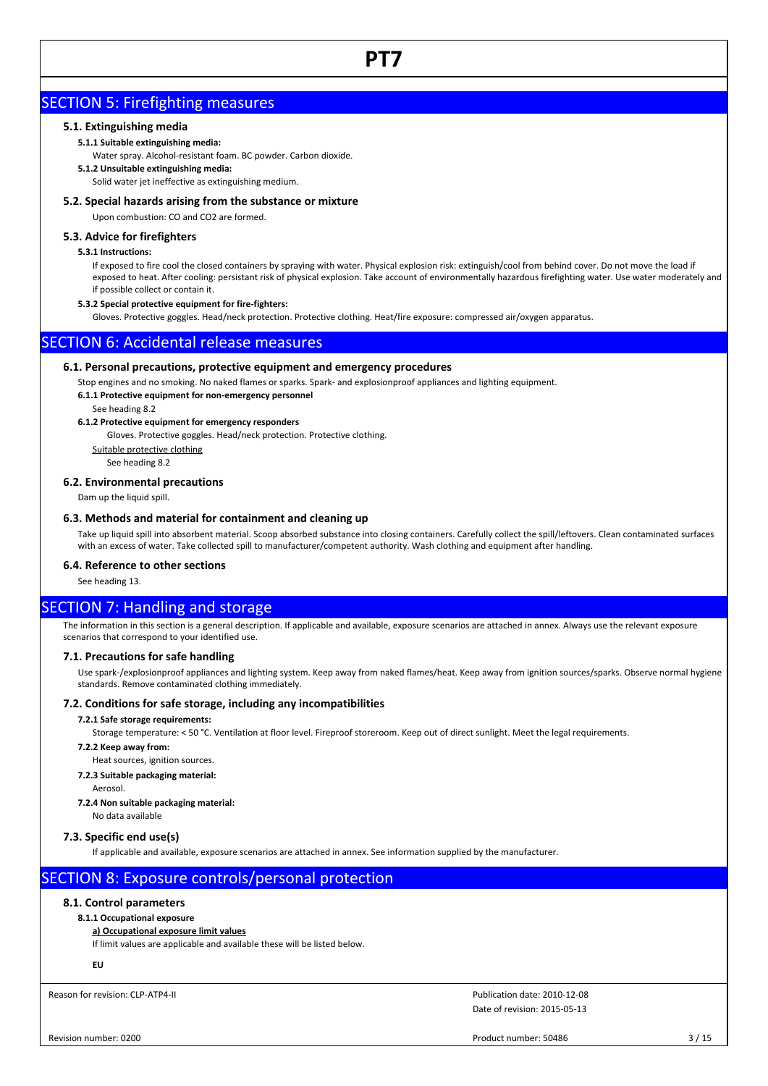# SECTION 5: Firefighting measures

# **5.1. Extinguishing media**

# **5.1.1 Suitable extinguishing media:**

Water spray. Alcohol-resistant foam. BC powder. Carbon dioxide.

# **5.1.2 Unsuitable extinguishing media:**

Solid water jet ineffective as extinguishing medium.

# **5.2. Special hazards arising from the substance or mixture**

Upon combustion: CO and CO2 are formed.

# **5.3. Advice for firefighters**

# **5.3.1 Instructions:**

If exposed to fire cool the closed containers by spraying with water. Physical explosion risk: extinguish/cool from behind cover. Do not move the load if exposed to heat. After cooling: persistant risk of physical explosion. Take account of environmentally hazardous firefighting water. Use water moderately and if possible collect or contain it.

## **5.3.2 Special protective equipment for fire-fighters:**

Gloves. Protective goggles. Head/neck protection. Protective clothing. Heat/fire exposure: compressed air/oxygen apparatus.

# SECTION 6: Accidental release measures

# **6.1. Personal precautions, protective equipment and emergency procedures**

Stop engines and no smoking. No naked flames or sparks. Spark- and explosionproof appliances and lighting equipment. **6.1.1 Protective equipment for non-emergency personnel**

See heading 8.2

# **6.1.2 Protective equipment for emergency responders**

Gloves. Protective goggles. Head/neck protection. Protective clothing.

Suitable protective clothing

See heading 8.2

# **6.2. Environmental precautions**

Dam up the liquid spill.

# **6.3. Methods and material for containment and cleaning up**

Take up liquid spill into absorbent material. Scoop absorbed substance into closing containers. Carefully collect the spill/leftovers. Clean contaminated surfaces with an excess of water. Take collected spill to manufacturer/competent authority. Wash clothing and equipment after handling.

# **6.4. Reference to other sections**

See heading 13.

# SECTION 7: Handling and storage

The information in this section is a general description. If applicable and available, exposure scenarios are attached in annex. Always use the relevant exposure scenarios that correspond to your identified use.

# **7.1. Precautions for safe handling**

Use spark-/explosionproof appliances and lighting system. Keep away from naked flames/heat. Keep away from ignition sources/sparks. Observe normal hygiene standards. Remove contaminated clothing immediately.

# **7.2. Conditions for safe storage, including any incompatibilities**

# **7.2.1 Safe storage requirements:**

Storage temperature: < 50 °C. Ventilation at floor level. Fireproof storeroom. Keep out of direct sunlight. Meet the legal requirements.

#### **7.2.2 Keep away from:**

Heat sources, ignition sources.

### **7.2.3 Suitable packaging material:**

Aerosol.

# **7.2.4 Non suitable packaging material:**

No data available

# **7.3. Specific end use(s)**

If applicable and available, exposure scenarios are attached in annex. See information supplied by the manufacturer.

# SECTION 8: Exposure controls/personal protection

# **8.1. Control parameters**

# **8.1.1 Occupational exposure**

# **a) Occupational exposure limit values**

If limit values are applicable and available these will be listed below.

**EU**

Reason for revision: CLP-ATP4-II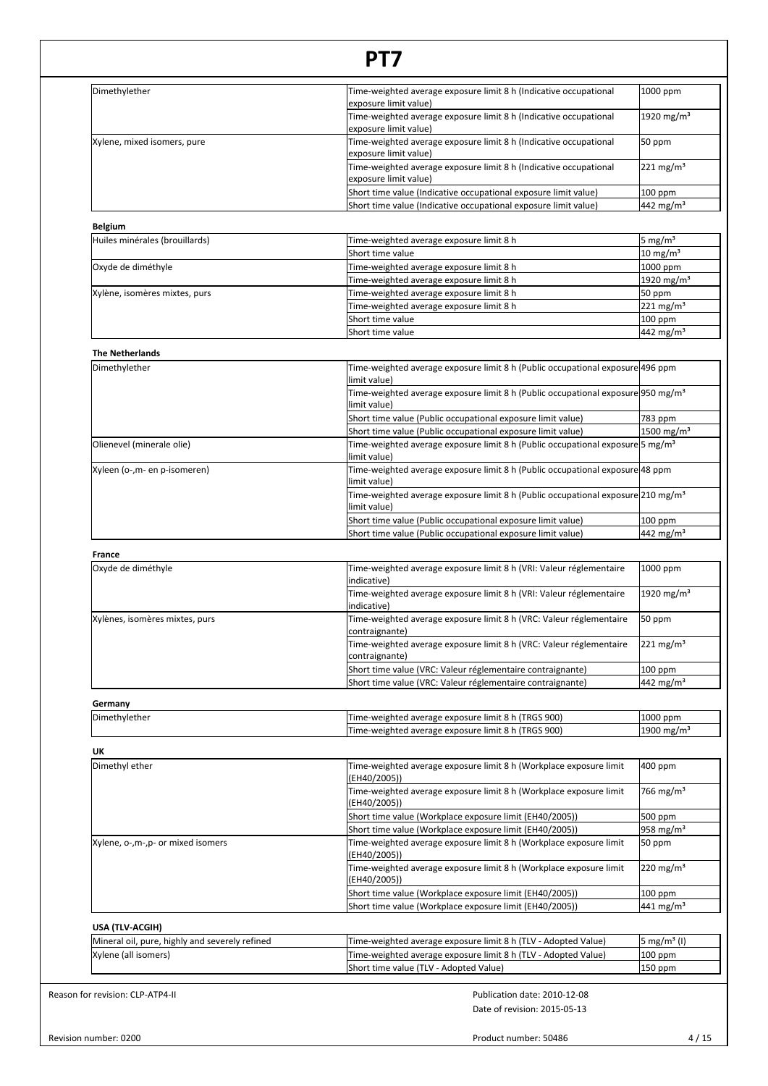| Dimethylether                                  | Time-weighted average exposure limit 8 h (Indicative occupational                                            | 1000 ppm                                   |
|------------------------------------------------|--------------------------------------------------------------------------------------------------------------|--------------------------------------------|
|                                                | exposure limit value)<br>Time-weighted average exposure limit 8 h (Indicative occupational                   | 1920 mg/m <sup>3</sup>                     |
| Xylene, mixed isomers, pure                    | exposure limit value)<br>Time-weighted average exposure limit 8 h (Indicative occupational                   | 50 ppm                                     |
|                                                | exposure limit value)                                                                                        | $221 \text{ mg/m}^3$                       |
|                                                | Time-weighted average exposure limit 8 h (Indicative occupational<br>exposure limit value)                   |                                            |
|                                                | Short time value (Indicative occupational exposure limit value)                                              | 100 ppm                                    |
|                                                | Short time value (Indicative occupational exposure limit value)                                              | 442 mg/m <sup>3</sup>                      |
| <b>Belgium</b>                                 |                                                                                                              |                                            |
| Huiles minérales (brouillards)                 | Time-weighted average exposure limit 8 h<br>Short time value                                                 | 5 mg/m <sup>3</sup><br>$10 \text{ mg/m}^3$ |
| Oxyde de diméthyle                             | Fime-weighted average exposure limit 8 h                                                                     | 1000 ppm                                   |
|                                                | Fime-weighted average exposure limit 8 h                                                                     | 1920 mg/m <sup>3</sup>                     |
| Xylène, isomères mixtes, purs                  | Time-weighted average exposure limit 8 h                                                                     | 50 ppm                                     |
|                                                | Time-weighted average exposure limit 8 h                                                                     | $221 \text{ mg/m}^3$                       |
|                                                | Short time value                                                                                             | 100 ppm                                    |
|                                                | Short time value                                                                                             | $442$ mg/m <sup>3</sup>                    |
| <b>The Netherlands</b>                         |                                                                                                              |                                            |
| Dimethylether                                  | Time-weighted average exposure limit 8 h (Public occupational exposure 496 ppm<br>limit value)               |                                            |
|                                                | Time-weighted average exposure limit 8 h (Public occupational exposure 950 mg/m <sup>3</sup><br>limit value) |                                            |
|                                                | Short time value (Public occupational exposure limit value)                                                  | 783 ppm                                    |
|                                                | Short time value (Public occupational exposure limit value)                                                  | $1500$ mg/m <sup>3</sup>                   |
| Olienevel (minerale olie)                      | Time-weighted average exposure limit 8 h (Public occupational exposure 5 mg/m <sup>3</sup><br>limit value)   |                                            |
| Xyleen (o-,m- en p-isomeren)                   | Time-weighted average exposure limit 8 h (Public occupational exposure 48 ppm<br>limit value)                |                                            |
|                                                | Time-weighted average exposure limit 8 h (Public occupational exposure 210 mg/m <sup>3</sup><br>limit value) |                                            |
|                                                | Short time value (Public occupational exposure limit value)                                                  | 100 ppm                                    |
|                                                | Short time value (Public occupational exposure limit value)                                                  | $442$ mg/m <sup>3</sup>                    |
| France                                         |                                                                                                              |                                            |
| Oxyde de diméthyle                             | Time-weighted average exposure limit 8 h (VRI: Valeur réglementaire<br>indicative)                           | 1000 ppm                                   |
|                                                | Time-weighted average exposure limit 8 h (VRI: Valeur réglementaire<br>indicative)                           | 1920 mg/m <sup>3</sup>                     |
| Xylènes, isomères mixtes, purs                 | Time-weighted average exposure limit 8 h (VRC: Valeur réglementaire<br>contraignante)                        | 50 ppm                                     |
|                                                | Time-weighted average exposure limit 8 h (VRC: Valeur réglementaire<br>contraignante)                        | $221 \,\mathrm{mg/m^3}$                    |
|                                                | Short time value (VRC: Valeur réglementaire contraignante)                                                   | 100 ppm                                    |
|                                                | Short time value (VRC: Valeur réglementaire contraignante)                                                   | 442 mg/m <sup>3</sup>                      |
| Germany                                        |                                                                                                              |                                            |
| Dimethylether                                  | Time-weighted average exposure limit 8 h (TRGS 900)                                                          | 1000 ppm                                   |
|                                                | Time-weighted average exposure limit 8 h (TRGS 900)                                                          | 1900 mg/m <sup>3</sup>                     |
| UK                                             |                                                                                                              |                                            |
| Dimethyl ether                                 | Time-weighted average exposure limit 8 h (Workplace exposure limit                                           | 400 ppm                                    |
|                                                | (EH40/2005))                                                                                                 |                                            |
|                                                | Time-weighted average exposure limit 8 h (Workplace exposure limit<br>(EH40/2005))                           | 766 mg/m <sup>3</sup>                      |
|                                                | Short time value (Workplace exposure limit (EH40/2005))                                                      | 500 ppm                                    |
|                                                | Short time value (Workplace exposure limit (EH40/2005))                                                      | 958 mg/m <sup>3</sup>                      |
| Xylene, o-,m-,p- or mixed isomers              | Time-weighted average exposure limit 8 h (Workplace exposure limit<br>(EH40/2005))                           | 50 ppm                                     |
|                                                | Time-weighted average exposure limit 8 h (Workplace exposure limit<br>(EH40/2005))                           | $220 \,\mathrm{mg/m^3}$                    |
|                                                | Short time value (Workplace exposure limit (EH40/2005))                                                      | 100 ppm                                    |
|                                                | Short time value (Workplace exposure limit (EH40/2005))                                                      | 441 mg/m <sup>3</sup>                      |
| USA (TLV-ACGIH)                                |                                                                                                              |                                            |
| Mineral oil, pure, highly and severely refined | Time-weighted average exposure limit 8 h (TLV - Adopted Value)                                               | $5 \text{ mg/m}^3$ (I)                     |
| Xylene (all isomers)                           | Time-weighted average exposure limit 8 h (TLV - Adopted Value)<br>Short time value (TLV - Adopted Value)     | 100 ppm<br>150 ppm                         |

Product number: 50486 4/15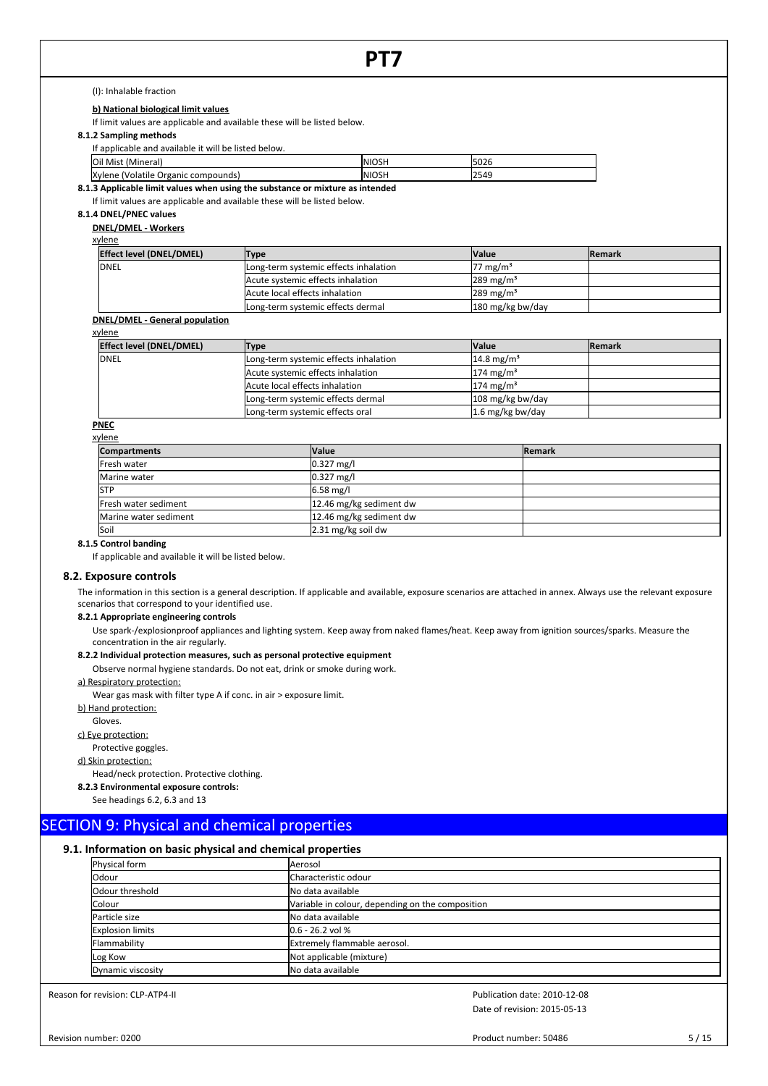(I): Inhalable fraction

**b) National biological limit values**

If limit values are applicable and available these will be listed below.

**8.1.2 Sampling methods**

If applicable and available it will be listed below.

| Oil Mist<br><br>(Mineral)                   | ΙN<br>וכטוי | 2000<br>I50Z6 |
|---------------------------------------------|-------------|---------------|
| Xvlene<br>compounds<br>(Volatile<br>Organic | ١N<br>וכטוי | 2549          |

**8.1.3 Applicable limit values when using the substance or mixture as intended**

If limit values are applicable and available these will be listed below.

# **8.1.4 DNEL/PNEC values**

**DNEL/DMEL - Workers**

| Effect level (DNEL/DMEL) | Type                                  | lValue                  | <b>IRemark</b> |
|--------------------------|---------------------------------------|-------------------------|----------------|
| DNEL                     | Long-term systemic effects inhalation | 77 mg/m <sup>3</sup>    |                |
|                          | Acute systemic effects inhalation     | $289 \,\mathrm{mg/m^3}$ |                |
|                          | Acute local effects inhalation        | $1289 \text{ mg/m}^3$   |                |
|                          | Long-term systemic effects dermal     | 180 mg/kg bw/day        |                |
| .                        |                                       |                         |                |

# **DNEL/DMEL - General population**

| xylene                          |                                       |                          |                |
|---------------------------------|---------------------------------------|--------------------------|----------------|
| <b>Effect level (DNEL/DMEL)</b> | <b>Type</b>                           | <b>Value</b>             | <b>IRemark</b> |
| <b>DNEL</b>                     | Long-term systemic effects inhalation | $14.8 \,\mathrm{mg/m^3}$ |                |
|                                 | Acute systemic effects inhalation     | $174 \text{ mg/m}^3$     |                |
|                                 | Acute local effects inhalation        | $174 \text{ mg/m}^3$     |                |
|                                 | Long-term systemic effects dermal     | 108 mg/kg bw/day         |                |
|                                 | Long-term systemic effects oral       | $1.6$ mg/kg bw/day       |                |

### **PNEC** xyler

| <u>λ γ ιστισ</u>      |                         |                |
|-----------------------|-------------------------|----------------|
| <b>Compartments</b>   | <b>Value</b>            | <b>IRemark</b> |
| Fresh water           | $0.327$ mg/l            |                |
| Marine water          | $0.327$ mg/l            |                |
| <b>ISTP</b>           | $6.58$ mg/l             |                |
| Fresh water sediment  | 12.46 mg/kg sediment dw |                |
| Marine water sediment | 12.46 mg/kg sediment dw |                |
| Soil                  | 2.31 mg/kg soil dw      |                |

# **8.1.5 Control banding**

If applicable and available it will be listed below.

#### **8.2. Exposure controls**

The information in this section is a general description. If applicable and available, exposure scenarios are attached in annex. Always use the relevant exposure scenarios that correspond to your identified use.

#### **8.2.1 Appropriate engineering controls**

Use spark-/explosionproof appliances and lighting system. Keep away from naked flames/heat. Keep away from ignition sources/sparks. Measure the concentration in the air regularly.

# **8.2.2 Individual protection measures, such as personal protective equipment**

Observe normal hygiene standards. Do not eat, drink or smoke during work.

### a) Respiratory protection:

Wear gas mask with filter type A if conc. in air > exposure limit.

# b) Hand protection:

Gloves.

c) Eye protection:

### Protective goggles.

d) Skin protection:

# Head/neck protection. Protective clothing.

**8.2.3 Environmental exposure controls:**

See headings 6.2, 6.3 and 13

# SECTION 9: Physical and chemical properties

# **9.1. Information on basic physical and chemical properties**

| Physical form           | Aerosol                                          |
|-------------------------|--------------------------------------------------|
| <b>Odour</b>            | Characteristic odour                             |
| Odour threshold         | No data available                                |
| <b>Colour</b>           | Variable in colour, depending on the composition |
| Particle size           | No data available                                |
| <b>Explosion limits</b> | $0.6 - 26.2$ vol %                               |
| Flammability            | Extremely flammable aerosol.                     |
| Log Kow                 | Not applicable (mixture)                         |
| Dynamic viscosity       | No data available                                |

Reason for revision: CLP-ATP4-II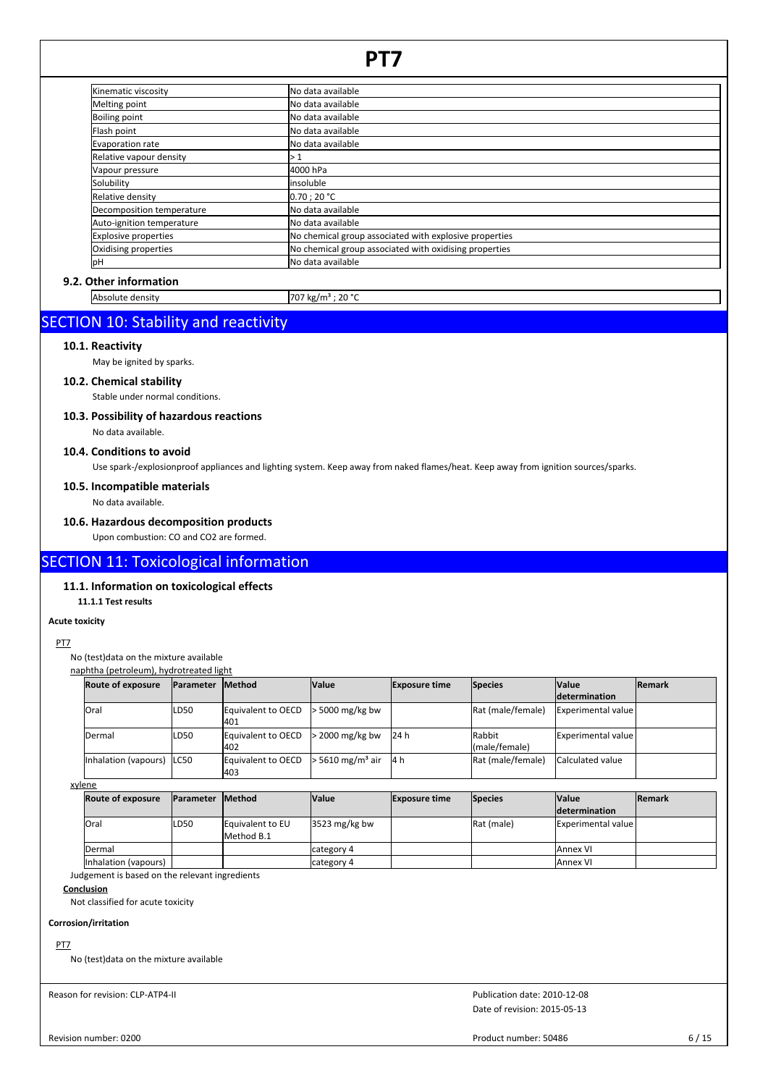| Kinematic viscosity         | No data available                                      |
|-----------------------------|--------------------------------------------------------|
| Melting point               | No data available                                      |
| <b>Boiling point</b>        | No data available                                      |
| Flash point                 | <b>I</b> No data available                             |
| Evaporation rate            | INo data available                                     |
| Relative vapour density     | l> 1                                                   |
| Vapour pressure             | 4000 hPa                                               |
| Solubility                  | linsoluble                                             |
| Relative density            | 0.70:20 °C                                             |
| Decomposition temperature   | No data available                                      |
| Auto-ignition temperature   | INo data available                                     |
| <b>Explosive properties</b> | No chemical group associated with explosive properties |
| Oxidising properties        | No chemical group associated with oxidising properties |
| lрН                         | No data available                                      |

# **9.2. Other information**

Absolute density 707 kg/m<sup>3</sup> ; 20 °C

# SECTION 10: Stability and reactivity

# **10.1. Reactivity**

May be ignited by sparks.

# **10.2. Chemical stability**

Stable under normal conditions.

# **10.3. Possibility of hazardous reactions**

No data available.

# **10.4. Conditions to avoid**

Use spark-/explosionproof appliances and lighting system. Keep away from naked flames/heat. Keep away from ignition sources/sparks.

# **10.5. Incompatible materials**

No data available.

# **10.6. Hazardous decomposition products**

Upon combustion: CO and CO2 are formed.

# SECTION 11: Toxicological information

# **11.1. Information on toxicological effects**

**11.1.1 Test results**

# **Acute toxicity**

PT7

# No (test)data on the mixture available naphtha (petroleum), hydrotreated light

| iaphtha (petroleum), hydrotreated light |                   |                           |                                    |                      |                                  |                              |               |
|-----------------------------------------|-------------------|---------------------------|------------------------------------|----------------------|----------------------------------|------------------------------|---------------|
| <b>Route of exposure</b>                | <b>IParameter</b> | <b>IMethod</b>            | <b>Value</b>                       | <b>Exposure time</b> | Species                          | <b>Value</b>                 | <b>Remark</b> |
|                                         |                   |                           |                                    |                      |                                  | <b>determination</b>         |               |
| <b>Oral</b>                             | ILD50             | Equivalent to OECD<br>401 | $\cdot$ 5000 mg/kg bw              |                      | Rat (male/female)                | Experimental value           |               |
| Dermal                                  | ILD <sub>50</sub> | Equivalent to OECD<br>402 | $\cdot$ 2000 mg/kg bw              | 24 h                 | <b>I</b> Rabbit<br>(male/female) | <b>IExperimental value l</b> |               |
| Inhalation (vapours) ILC50              |                   | Equivalent to OECD<br>403 | $\cdot$ 5610 mg/m <sup>3</sup> air | 14 h                 | Rat (male/female)                | <b>Calculated value</b>      |               |

xylene

| <b>Route of exposure</b> | <b>IParameter Method</b> |                                | <b>Value</b>    | <b>Exposure time</b> | <b>Species</b>     | <b>Value</b>         | <b>Remark</b> |
|--------------------------|--------------------------|--------------------------------|-----------------|----------------------|--------------------|----------------------|---------------|
|                          |                          |                                |                 |                      |                    | <b>determination</b> |               |
| <b>lOral</b>             | LD <sub>50</sub>         | Equivalent to EU<br>Method B.1 | $3523$ mg/kg bw |                      | <b>IRat (male)</b> | Experimental value   |               |
| <b>IDermal</b>           |                          |                                | category 4      |                      |                    | <b>JAnnex VI</b>     |               |
| Inhalation (vapours)     |                          |                                | category 4      |                      |                    | <b>JAnnex VI</b>     |               |

Judgement is based on the relevant ingredients

# **Conclusion**

Not classified for acute toxicity

# **Corrosion/irritation**

# PT7

No (test)data on the mixture available

Reason for revision: CLP-ATP4-II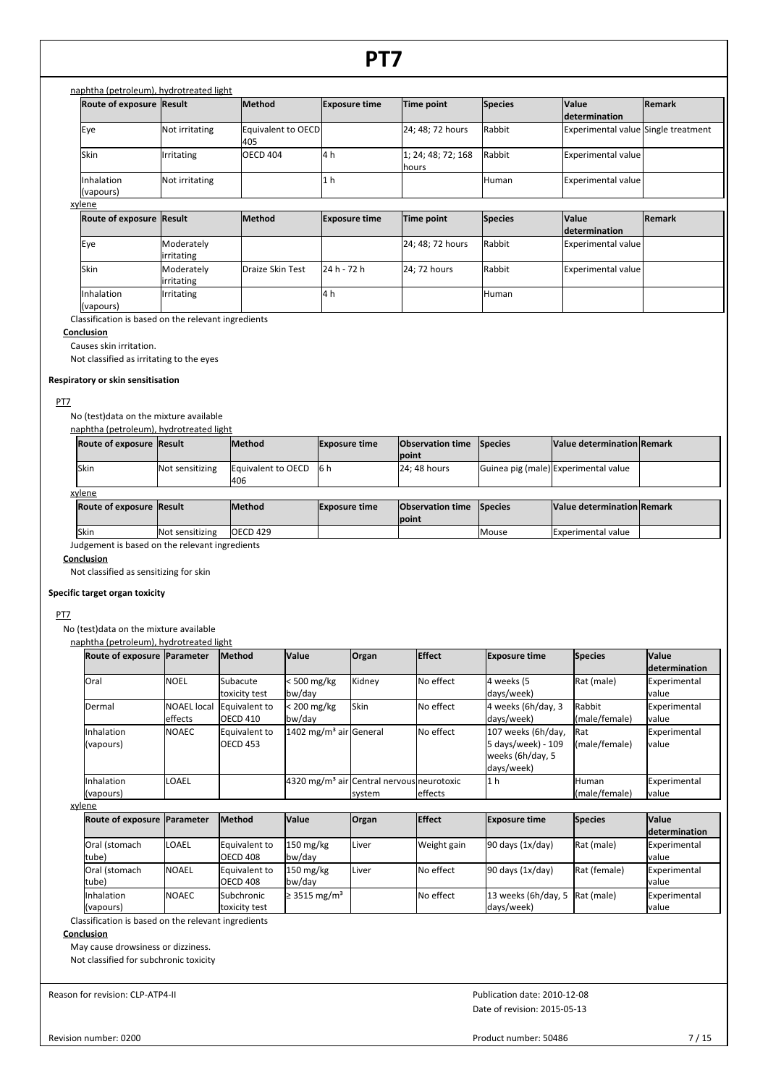# naphtha (petroleum), hydrotreated light

| <b>Route of exposure Result</b> |                   | <b>Method</b>             | <b>Exposure time</b> | Time point                  | Species      | <b>Value</b>                        | <b>Remark</b> |
|---------------------------------|-------------------|---------------------------|----------------------|-----------------------------|--------------|-------------------------------------|---------------|
|                                 |                   |                           |                      |                             |              | <b>determination</b>                |               |
| Eye                             | Not irritating    | Equivalent to OECD<br>405 |                      | 24; 48; 72 hours            | Rabbit       | Experimental value Single treatment |               |
| <b>ISkin</b>                    | <b>Irritating</b> | <b>OECD 404</b>           | l4 h                 | 1; 24; 48; 72; 168<br>hours | Rabbit       | Experimental value                  |               |
| <b>Inhalation</b><br>(vapours)  | Not irritating    |                           | ı1 h                 |                             | <b>Human</b> | Experimental value                  |               |

# xylene

| <b>Route of exposure Result</b> |                     | <b>Method</b>    | <b>Exposure time</b> | Time point       | <b>Species</b> | <b>Value</b>               | Remark |
|---------------------------------|---------------------|------------------|----------------------|------------------|----------------|----------------------------|--------|
|                                 |                     |                  |                      |                  |                | <b>determination</b>       |        |
| Eye                             | Moderately          |                  |                      | 24; 48; 72 hours | Rabbit         | Experimental value         |        |
|                                 | lirritating         |                  |                      |                  |                |                            |        |
| <b>ISkin</b>                    | <b>I</b> Moderately | Draize Skin Test | 124 h - 72 h         | 24; 72 hours     | Rabbit         | <b>IExperimental value</b> |        |
|                                 | lirritating         |                  |                      |                  |                |                            |        |
| <b>Inhalation</b>               | <b>Irritating</b>   |                  | l4 h                 |                  | <b>Human</b>   |                            |        |
| (vapours)                       |                     |                  |                      |                  |                |                            |        |

Classification is based on the relevant ingredients

# **Conclusion**

Causes skin irritation.

Not classified as irritating to the eyes

# **Respiratory or skin sensitisation**

# PT7

No (test)data on the mixture available naphtha (petroleum), hydrotreated light

| Route of exposure Result |                 | lMethod                   | <b>Exposure time</b> | <b>Observation time Species</b><br><b>Ipoint</b> | <b>Nalue determination Remark</b>    |  |
|--------------------------|-----------------|---------------------------|----------------------|--------------------------------------------------|--------------------------------------|--|
| lSkin                    | Not sensitizing | Equivalent to OECD<br>406 | 16 h                 | <b>24: 48 hours</b>                              | Guinea pig (male) Experimental value |  |

# xylene

| Route of exposure Result                       |                 | <b>IMethod</b> | <b>Exposure time</b> | <b>Observation time Species</b><br><b>Ipoint</b> |        | Value determination Remark |  |  |  |
|------------------------------------------------|-----------------|----------------|----------------------|--------------------------------------------------|--------|----------------------------|--|--|--|
| <b>Skin</b>                                    | Not sensitizing | lOECD 429      |                      |                                                  | lMouse | <b>Experimental value</b>  |  |  |  |
| Judgement is based on the relevant ingredients |                 |                |                      |                                                  |        |                            |  |  |  |

# **Conclusion**

Not classified as sensitizing for skin

# **Specific target organ toxicity**

# PT7

No (test)data on the mixture available naphtha (petroleum), hydrotreated light

|                                       |                                  |                                                         |                  |                                                      | <b>Exposure time</b>                                                                       | <b>Species</b> | <b>Value</b><br><i>determination</i>                                             |
|---------------------------------------|----------------------------------|---------------------------------------------------------|------------------|------------------------------------------------------|--------------------------------------------------------------------------------------------|----------------|----------------------------------------------------------------------------------|
| <b>INOEL</b>                          | <b>Subacute</b><br>toxicity test | < 500 mg/kg                                             | Kidney           | No effect                                            | 4 weeks (5<br>days/week)                                                                   | Rat (male)     | Experimental<br>lvalue                                                           |
| <b>NOAEL</b> local<br><b>leffects</b> |                                  | $< 200$ mg/kg                                           |                  |                                                      | 4 weeks (6h/day, 3<br>days/week)                                                           |                | Experimental<br>lvalue                                                           |
| <b>INOAEC</b>                         |                                  |                                                         |                  |                                                      | 107 weeks (6h/day,<br>5 days/week) - 109<br>weeks (6h/day, 5<br>days/week)                 |                | Experimental<br>lvalue                                                           |
| <b>LOAEL</b>                          |                                  |                                                         |                  |                                                      | l1 h                                                                                       |                | Experimental<br>value                                                            |
|                                       |                                  | Equivalent to<br>OECD 410<br>Equivalent to<br>lOECD 453 | bw/day<br>bw/day | Skin<br>1402 mg/m <sup>3</sup> air General<br>system | No effect<br>No effect<br>4320 mg/m <sup>3</sup> air Central nervous neurotoxic<br>effects |                | Rabbit<br>(male/female)<br>Rat<br>(male/female)<br><b>Human</b><br>(male/female) |

| <u></u>                       |               |                   |                               |              |               |                                |                |                      |  |  |
|-------------------------------|---------------|-------------------|-------------------------------|--------------|---------------|--------------------------------|----------------|----------------------|--|--|
| Route of exposure   Parameter |               | <b>Method</b>     | <b>Value</b>                  | <b>Organ</b> | <b>Effect</b> | <b>Exposure time</b>           | <b>Species</b> | <b>Value</b>         |  |  |
|                               |               |                   |                               |              |               |                                |                | <b>determination</b> |  |  |
| Oral (stomach                 | LOAEL         | Equivalent to     | $150 \text{ mg/kg}$           | Liver        | Weight gain   | $90$ days $(1x/day)$           | Rat (male)     | Experimental         |  |  |
| tube)                         |               | <b>OECD 408</b>   | bw/day                        |              |               |                                |                | lvalue               |  |  |
| Oral (stomach                 | INOAEL        | Equivalent to     | $150 \text{ mg/kg}$           | Liver        | No effect     | $90$ days $(1x/day)$           | Rat (female)   | Experimental         |  |  |
| tube)                         |               | <b>OECD 408</b>   | bw/dav                        |              |               |                                |                | lvalue               |  |  |
| <b>Inhalation</b>             | <b>INOAEC</b> | <b>Subchronic</b> | $\geq$ 3515 mg/m <sup>3</sup> |              | No effect     | 13 weeks (6h/day, 5 Rat (male) |                | Experimental         |  |  |
| (vapours)                     |               | toxicity test     |                               |              |               | days/week)                     |                | lvalue               |  |  |

Classification is based on the relevant ingredients

# **Conclusion**

May cause drowsiness or dizziness. Not classified for subchronic toxicity

Reason for revision: CLP-ATP4-II

Date of revision: 2015-05-13 Publication date: 2010-12-08

Revision number: 0200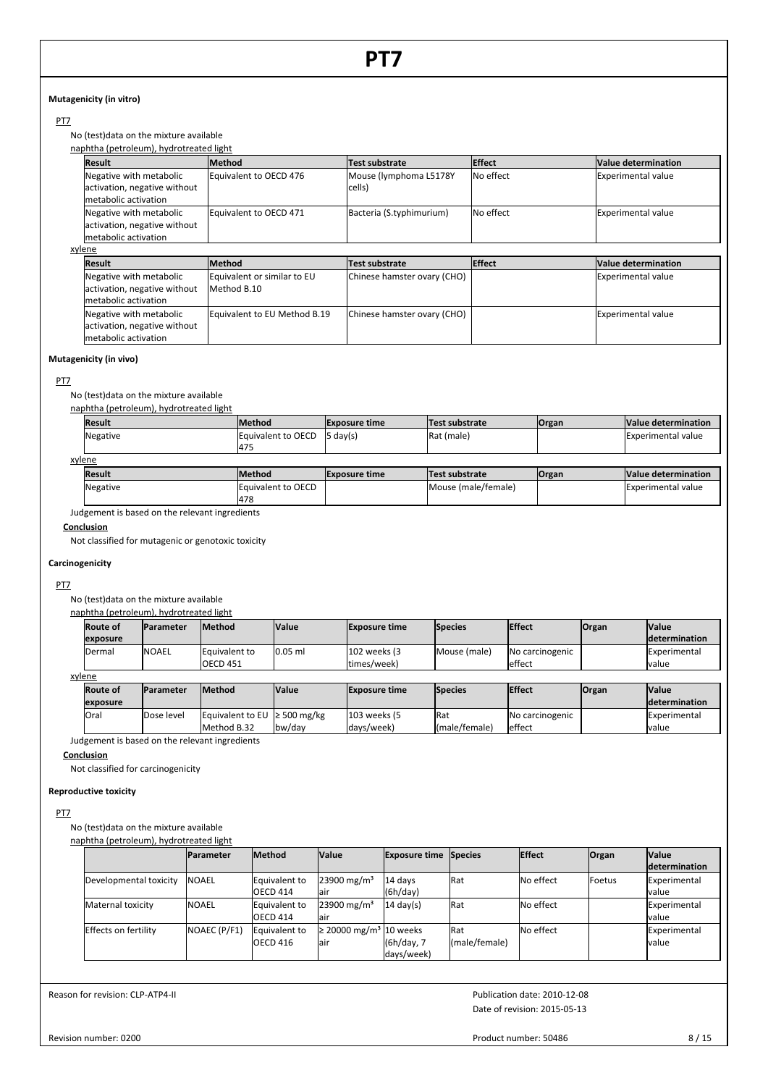# **Mutagenicity (in vitro)**

# PT<sub>7</sub>

No (test)data on the mixture available naphtha (petroleum), hydrotreated light

|        | naphtha (petroleum), hydrotreated light |                        |                          |                  |                           |
|--------|-----------------------------------------|------------------------|--------------------------|------------------|---------------------------|
|        | <b>Result</b>                           | <b>Method</b>          | Test substrate           | <b>IEffect</b>   | Value determination       |
|        | Negative with metabolic                 | Equivalent to OECD 476 | Mouse (lymphoma L5178Y   | <b>No effect</b> | Experimental value        |
|        | activation, negative without            |                        | cells)                   |                  |                           |
|        | Imetabolic activation                   |                        |                          |                  |                           |
|        | Negative with metabolic                 | Equivalent to OECD 471 | Bacteria (S.typhimurium) | <b>No effect</b> | <b>Experimental value</b> |
|        | activation, negative without            |                        |                          |                  |                           |
|        | Imetabolic activation                   |                        |                          |                  |                           |
| xylene |                                         |                        |                          |                  |                           |

| <b>y</b> 1 C 1 1 C           |                              |                             |                |                            |
|------------------------------|------------------------------|-----------------------------|----------------|----------------------------|
| <b>Result</b>                | <b>Method</b>                | Test substrate              | <b>IEffect</b> | Value determination        |
| Negative with metabolic      | Equivalent or similar to EU  | Chinese hamster ovary (CHO) |                | <b>Experimental value</b>  |
| activation, negative without | Method B.10                  |                             |                |                            |
| Imetabolic activation        |                              |                             |                |                            |
| Negative with metabolic      | Equivalent to EU Method B.19 | Chinese hamster ovary (CHO) |                | <b>IExperimental value</b> |
| activation, negative without |                              |                             |                |                            |
| Imetabolic activation        |                              |                             |                |                            |

# **Mutagenicity (in vivo)**

# PT7

No (test)data on the mixture available

### naphtha (petroleum), hydrotreated light

| Result   | lMethod            | <b>Exposure time</b> | Test substrate     | <b>Organ</b> | Value determination       |  |  |  |  |  |
|----------|--------------------|----------------------|--------------------|--------------|---------------------------|--|--|--|--|--|
| Negative | Equivalent to OECD | $5 \text{ day}(s)$   | <b>IRat (male)</b> |              | <b>Experimental value</b> |  |  |  |  |  |
|          | 1475               |                      |                    |              |                           |  |  |  |  |  |
| xylene   |                    |                      |                    |              |                           |  |  |  |  |  |
| . .      | <b>Inc. </b>       |                      | .                  | $\sim$       | .                         |  |  |  |  |  |

| Result   | Method                    | <b>Exposure time</b> | <b>Test substrate</b> | <b>Organ</b> | Value determination |  |  |  |
|----------|---------------------------|----------------------|-----------------------|--------------|---------------------|--|--|--|
| Negative | auivalent to OECD<br>1478 |                      | Mouse (male/female)   |              | Experimental value  |  |  |  |
| .        |                           |                      |                       |              |                     |  |  |  |

Judgement is based on the relevant ingredients

# **Conclusion**

Not classified for mutagenic or genotoxic toxicity

# **Carcinogenicity**

# PT7

No (test)data on the mixture available

|        |                 | naphtha (petroleum), hydrotreated light |                 |              |                      |              |                 |              |                      |  |  |
|--------|-----------------|-----------------------------------------|-----------------|--------------|----------------------|--------------|-----------------|--------------|----------------------|--|--|
|        | <b>Route of</b> | <b>Parameter</b>                        | <b>Method</b>   | <b>Value</b> | <b>Exposure time</b> | Species      | <b>Effect</b>   | <b>Organ</b> | <b>Value</b>         |  |  |
|        | exposure        |                                         |                 |              |                      |              |                 |              | <b>determination</b> |  |  |
|        | Dermal          | <b>NOAEL</b>                            | Equivalent to   | $0.05$ ml    | 102 weeks (3)        | Mouse (male) | No carcinogenic |              | Experimental         |  |  |
|        |                 |                                         | <b>OECD 451</b> |              | ltimes/week)         |              | effect          |              | Ivalue               |  |  |
| xylene |                 |                                         |                 |              |                      |              |                 |              |                      |  |  |
|        |                 |                                         |                 |              |                      |              |                 |              |                      |  |  |

| vicile                                                |            |                                   |                      |                |               |                 |              |                       |  |  |
|-------------------------------------------------------|------------|-----------------------------------|----------------------|----------------|---------------|-----------------|--------------|-----------------------|--|--|
| <b>Method</b><br><b>Route of</b><br><b>IParameter</b> |            | <b>Value</b>                      | <b>Exposure time</b> | <b>Species</b> | <b>Effect</b> | <b>Organ</b>    | <b>Value</b> |                       |  |  |
| exposure                                              |            |                                   |                      |                |               |                 |              | <b>Idetermination</b> |  |  |
| lOral                                                 | Dose level | Equivalent to EU $\geq$ 500 mg/kg |                      | 103 weeks (5   | <b>Rat</b>    | No carcinogenic |              | <b>IExperimental</b>  |  |  |
|                                                       |            | Method B.32                       | lbw/dav              | ldavs/week)    | (male/female) | effect          |              | Ivalue                |  |  |

Judgement is based on the relevant ingredients

# **Conclusion**

Not classified for carcinogenicity

# **Reproductive toxicity**

# PT<sub>7</sub>

No (test)data on the mixture available naphtha (petroleum), hydrotreated light

| Haphtha (petroleum), myuroti cateu light |                   |               |                                         |                              |               |               |                 |                |
|------------------------------------------|-------------------|---------------|-----------------------------------------|------------------------------|---------------|---------------|-----------------|----------------|
|                                          | <b>IParameter</b> | <b>Method</b> | <b>Value</b>                            | <b>Exposure time Species</b> |               | <b>Effect</b> | <b>Organ</b>    | <b>Value</b>   |
|                                          |                   |               |                                         |                              |               |               |                 | ldetermination |
| Developmental toxicity                   | <b>INOAEL</b>     | Equivalent to | 23900 mg/m <sup>3</sup>                 | 14 days                      | <b>IRat</b>   | No effect     | <b>I</b> Foetus | Experimental   |
|                                          |                   | OECD 414      | lair                                    | (6h/day)                     |               |               |                 | lvalue         |
| Maternal toxicity                        | <b>INOAEL</b>     | Equivalent to | 23900 mg/m <sup>3</sup>                 | $14 \text{ day(s)}$          | Rat           | No effect     |                 | Experimental   |
|                                          |                   | OECD 414      | lair                                    |                              |               |               |                 | lvalue         |
| Effects on fertility                     | NOAEC (P/F1)      | Equivalent to | $\geq$ 20000 mg/m <sup>3</sup> 10 weeks |                              | Rat           | No effect     |                 | Experimental   |
|                                          |                   | OECD 416      | lair                                    | (6h/day, 7                   | (male/female) |               |                 | lvalue         |
|                                          |                   |               |                                         | days/week)                   |               |               |                 |                |

Reason for revision: CLP-ATP4-II

Date of revision: 2015-05-13 Publication date: 2010-12-08

Revision number: 0200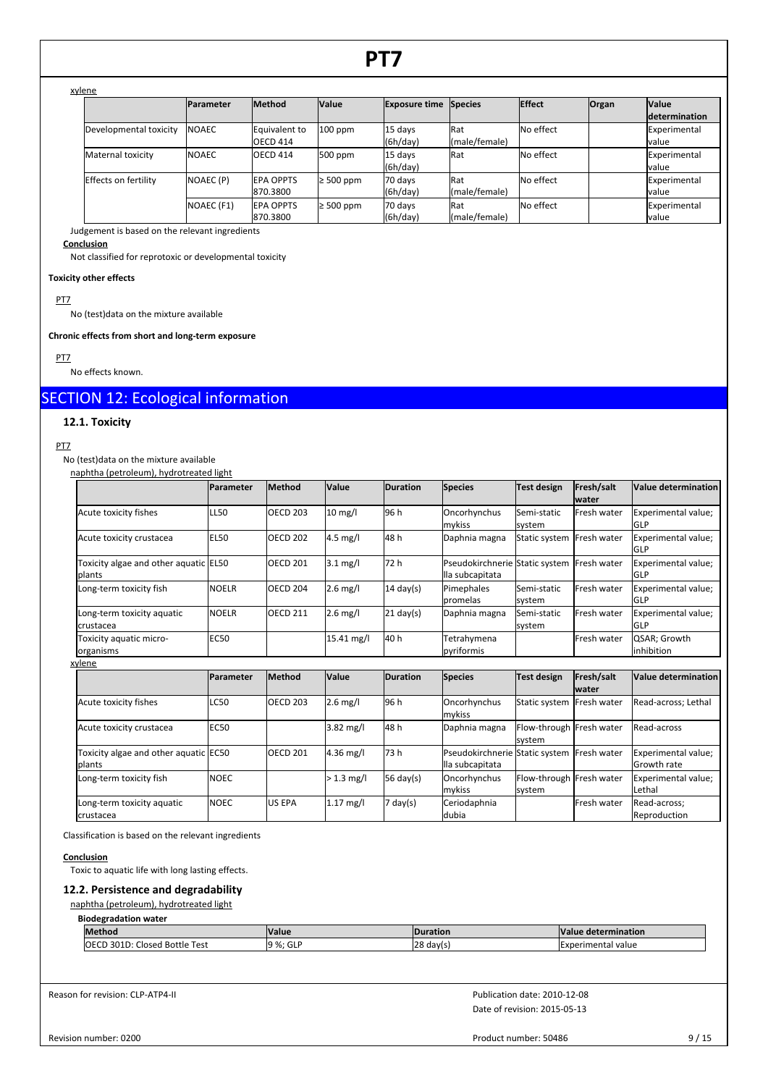# xylene

|                        | Parameter     | <b>Method</b>                 | <b>Value</b>   | <b>Exposure time</b> | Species              | Effect    | <b>Organ</b> | <b>Value</b><br><b>determination</b> |
|------------------------|---------------|-------------------------------|----------------|----------------------|----------------------|-----------|--------------|--------------------------------------|
| Developmental toxicity | <b>INOAEC</b> | Equivalent to<br>OECD 414     | $100$ ppm      | 15 days<br>(6h/day)  | Rat<br>(male/female) | No effect |              | Experimental<br><b>I</b> value       |
| Maternal toxicity      | <b>INOAEC</b> | OECD 414                      | 500 ppm        | 15 days<br>(6h/day)  | Rat                  | No effect |              | Experimental<br><b>I</b> value       |
| Effects on fertility   | NOAEC (P)     | <b>IEPA OPPTS</b><br>870.3800 | $\geq 500$ ppm | 70 days<br>(6h/day)  | Rat<br>(male/female) | No effect |              | Experimental<br><b>I</b> value       |
|                        | NOAEC (F1)    | <b>IEPA OPPTS</b><br>870.3800 | $\geq 500$ ppm | 70 days<br>(6h/day)  | Rat<br>(male/female) | No effect |              | Experimental<br><b>I</b> value       |

Judgement is based on the relevant ingredients

# **Conclusion**

Not classified for reprotoxic or developmental toxicity

### **Toxicity other effects**

PT7

No (test)data on the mixture available

### **Chronic effects from short and long-term exposure**

PT7

No effects known.

# SECTION 12: Ecological information

# **12.1. Toxicity**

# PT7

No (test)data on the mixture available

| naphtha (petroleum), hydrotreated light         |                  |                 |              |                     |                                                   |                                    |                            |                                           |
|-------------------------------------------------|------------------|-----------------|--------------|---------------------|---------------------------------------------------|------------------------------------|----------------------------|-------------------------------------------|
|                                                 | <b>Parameter</b> | Method          | Value        | <b>Duration</b>     | <b>Species</b>                                    | Test design                        | Fresh/salt<br><b>water</b> | Value determination                       |
| Acute toxicity fishes                           | <b>LL50</b>      | <b>OECD 203</b> | $10$ mg/l    | 96 h                | Oncorhynchus<br>mykiss                            | Semi-static<br>system              | Fresh water                | Experimental value;<br><b>GLP</b>         |
| Acute toxicity crustacea                        | <b>EL50</b>      | <b>OECD 202</b> | 4.5 mg/l     | 48h                 | Daphnia magna                                     | Static system Fresh water          |                            | Experimental value;<br>GLP                |
| Toxicity algae and other aquatic EL50<br>plants |                  | <b>OECD 201</b> | $3.1$ mg/l   | 72 h                | Pseudokirchnerie Static system<br>lla subcapitata |                                    | Fresh water                | Experimental value;<br>GLP                |
| Long-term toxicity fish                         | <b>NOELR</b>     | <b>OECD 204</b> | $2.6$ mg/l   | $14 \text{ day}(s)$ | Pimephales<br>promelas                            | Semi-static<br>system              | Fresh water                | Experimental value;<br><b>GLP</b>         |
| Long-term toxicity aquatic<br>lcrustacea        | <b>NOELR</b>     | <b>OECD 211</b> | $2.6$ mg/l   | $21$ day(s)         | Daphnia magna                                     | Semi-static<br>system              | Fresh water                | Experimental value;<br><b>GLP</b>         |
| Toxicity aquatic micro-<br>organisms            | <b>EC50</b>      |                 | 15.41 mg/l   | 40 h                | Tetrahymena<br>pyriformis                         |                                    | Fresh water                | QSAR; Growth<br>linhibition               |
| xylene                                          |                  |                 |              |                     |                                                   |                                    |                            |                                           |
|                                                 | Parameter        | Method          | Value        | <b>Duration</b>     | <b>Species</b>                                    | Test design                        | Fresh/salt<br><b>water</b> | Value determination                       |
| Acute toxicity fishes                           | <b>LC50</b>      | <b>OECD 203</b> | $2.6$ mg/l   | 96 h                | Oncorhynchus<br>mykiss                            | Static system Fresh water          |                            | Read-across; Lethal                       |
| Acute toxicity crustacea                        | <b>EC50</b>      |                 | 3.82 mg/l    | 48h                 | Daphnia magna                                     | Flow-through Fresh water<br>system |                            | Read-across                               |
| Toxicity algae and other aquatic EC50<br>plants |                  | <b>OECD 201</b> | $4.36$ mg/l  | 73h                 | Pseudokirchnerie<br>lla subcapitata               | Static system Fresh water          |                            | Experimental value;<br><b>Growth rate</b> |
| Long-term toxicity fish                         | <b>NOEC</b>      |                 | $> 1.3$ mg/l | 56 day(s)           | Oncorhynchus<br>mykiss                            | Flow-through Fresh water<br>system |                            | Experimental value;<br>Lethal             |
| Long-term toxicity aquatic<br>crustacea         | <b>NOEC</b>      | <b>US EPA</b>   | $1.17$ mg/l  | 7 day(s)            | Ceriodaphnia<br>dubia                             |                                    | Fresh water                | Read-across:<br>Reproduction              |

Classification is based on the relevant ingredients

# **Conclusion**

Toxic to aquatic life with long lasting effects.

# **12.2. Persistence and degradability**

naphtha (petroleum), hydrotreated light

| <b>Biodegradation water</b> |  |
|-----------------------------|--|
|-----------------------------|--|

| IMethod                                                 | <b>Nalue</b>               | lDu<br>ration | <b>Va</b><br>termination     |
|---------------------------------------------------------|----------------------------|---------------|------------------------------|
| 2015<br>ΟF<br>™est<br>$12, -11$<br>$I = 1$<br>ttle<br>- | ഥ ം<br>$\sim$<br>uu<br>ΖΟ. | 128<br>davls  | <b>Experimental</b><br>value |

Reason for revision: CLP-ATP4-II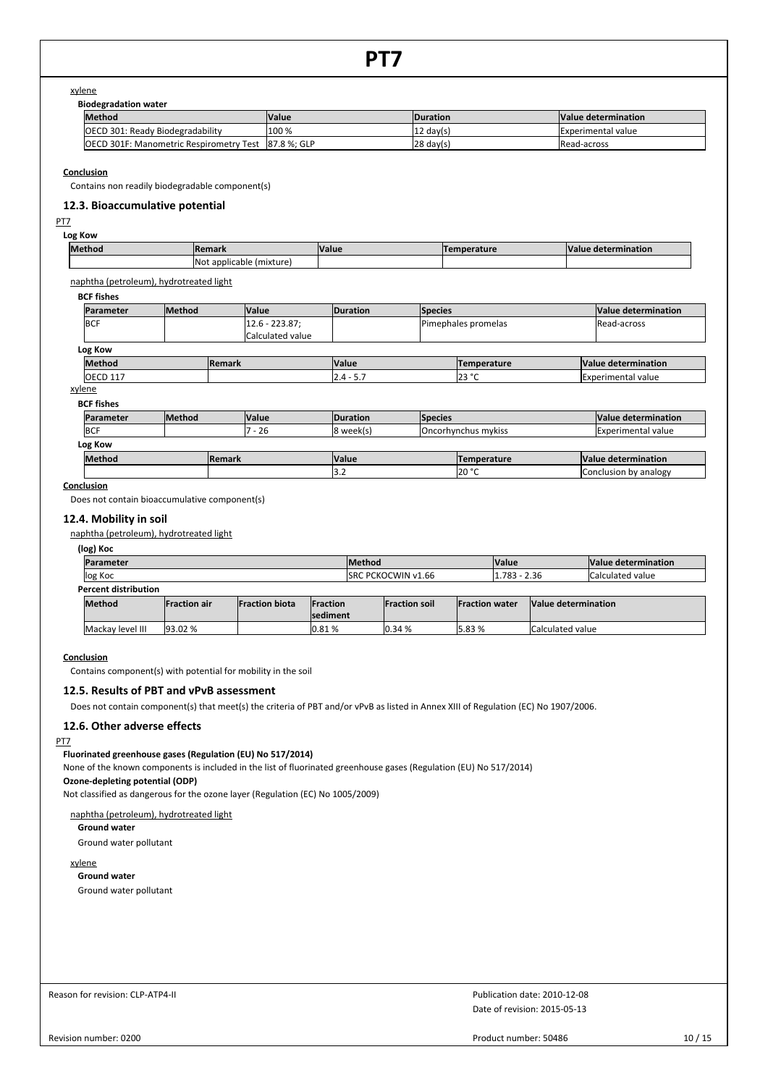### xylene

**Biodegradation water**

| --------------------                           |              |                                            |                     |  |
|------------------------------------------------|--------------|--------------------------------------------|---------------------|--|
| <b>Method</b>                                  | <b>Value</b> | <b>IDuration</b>                           | Value determination |  |
| OECD 301: Ready Biodegradability               | 100 %        | <b>Experimental value</b><br>: day(s)<br>ᄔ |                     |  |
| <b>OECD 301F: Manometric Respirometry Test</b> | 87.8 %: GLP  | $ 28 \text{ day}(s) $                      | Read-across         |  |

**Conclusion**

Contains non readily biodegradable component(s)

# **12.3. Bioaccumulative potential**

# PT7

**Log Kow**

| <b>Method</b><br><b>IRemark</b> |                                   | <b>Value</b> | perature | $\mathbf{M}$<br>determination<br>valu |
|---------------------------------|-----------------------------------|--------------|----------|---------------------------------------|
|                                 | . Not<br>(mixture<br>: applicable |              |          |                                       |

naphtha (petroleum), hydrotreated light

# **BCF fishes**

| <b>Method</b> | <b>Value</b>     | <b>Duration</b> |                    | Value determination                   |  |  |  |  |  |  |
|---------------|------------------|-----------------|--------------------|---------------------------------------|--|--|--|--|--|--|
|               | $12.6 - 223.87;$ |                 |                    | <b>IRead-across</b>                   |  |  |  |  |  |  |
|               | Calculated value |                 |                    |                                       |  |  |  |  |  |  |
| Log Kow       |                  |                 |                    |                                       |  |  |  |  |  |  |
|               |                  | <b>Value</b>    | <b>Temperature</b> | Value determination                   |  |  |  |  |  |  |
|               |                  | $2.4 - 5.7$     | 123 °C             | <b>Experimental value</b>             |  |  |  |  |  |  |
|               |                  | <b>Remark</b>   |                    | <b>Species</b><br>Pimephales promelas |  |  |  |  |  |  |

#### xylene **BCF fishes**

| Parameter     | <b>Method</b> |               | <b>Nalue</b> | <b>IDuration</b> | <b>Species</b> |                            | Value determination |                       |  |  |
|---------------|---------------|---------------|--------------|------------------|----------------|----------------------------|---------------------|-----------------------|--|--|
| <b>IBCF</b>   |               |               | $7 - 26$     | 8 week(s)        |                | <b>Oncorhynchus mykiss</b> |                     | Experimental value    |  |  |
| Log Kow       |               |               |              |                  |                |                            |                     |                       |  |  |
| <b>Method</b> |               | <b>Remark</b> |              | <b>Value</b>     |                | <b>Temperature</b>         |                     | Value determination   |  |  |
|               |               |               |              | ے.د              |                | 120 °C                     |                     | Conclusion by analogy |  |  |

# **Conclusion**

Does not contain bioaccumulative component(s)

# **12.4. Mobility in soil**

naphtha (petroleum), hydrotreated light

**(log) Koc**

| Parameter                   |                     |                       |                  | <b>Method</b>              |                      | <b>Value</b>           |  | Value determination      |  |
|-----------------------------|---------------------|-----------------------|------------------|----------------------------|----------------------|------------------------|--|--------------------------|--|
| log Koc                     |                     |                       |                  | <b>ISRC PCKOCWIN v1.66</b> |                      | $1.783 - 2.36$         |  | <b>Calculated value</b>  |  |
| <b>Percent distribution</b> |                     |                       |                  |                            |                      |                        |  |                          |  |
| <b>Method</b>               | <b>Fraction air</b> | <b>Fraction biota</b> | <b>IFraction</b> |                            | <b>Fraction soil</b> | <b>IFraction water</b> |  | Value determination      |  |
|                             |                     |                       | <b>Isediment</b> |                            |                      |                        |  |                          |  |
| Mackay level III            | 93.02 %             |                       | 10.81%           |                            | 0.34%                | 5.83 %                 |  | <b>ICalculated value</b> |  |

### **Conclusion**

Contains component(s) with potential for mobility in the soil

# **12.5. Results of PBT and vPvB assessment**

Does not contain component(s) that meet(s) the criteria of PBT and/or vPvB as listed in Annex XIII of Regulation (EC) No 1907/2006.

# **12.6. Other adverse effects**

# PT7

# **Fluorinated greenhouse gases (Regulation (EU) No 517/2014)**

None of the known components is included in the list of fluorinated greenhouse gases (Regulation (EU) No 517/2014)

# **Ozone-depleting potential (ODP)**

Not classified as dangerous for the ozone layer (Regulation (EC) No 1005/2009)

# naphtha (petroleum), hydrotreated light

**Ground water**

Ground water pollutant

# xylene

**Ground water** Ground water pollutant

Reason for revision: CLP-ATP4-II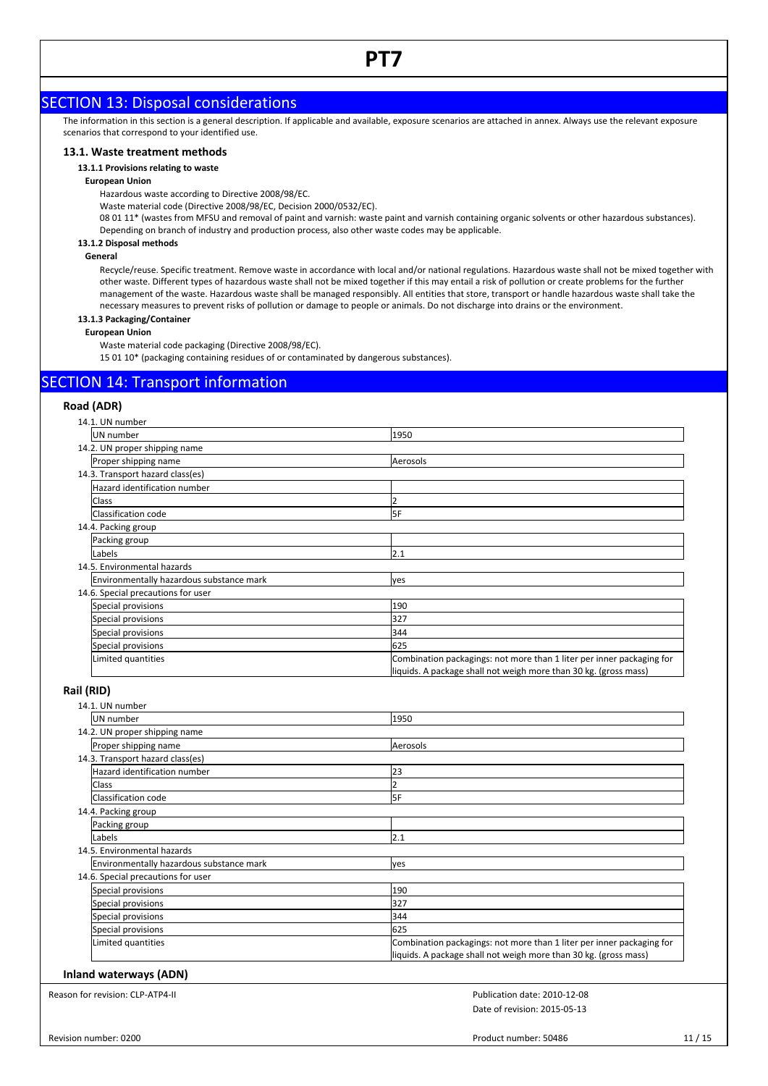# SECTION 13: Disposal considerations

The information in this section is a general description. If applicable and available, exposure scenarios are attached in annex. Always use the relevant exposure scenarios that correspond to your identified use.

# **13.1. Waste treatment methods**

### **13.1.1 Provisions relating to waste**

### **European Union**

Hazardous waste according to Directive 2008/98/EC.

Waste material code (Directive 2008/98/EC, Decision 2000/0532/EC).

08 01 11\* (wastes from MFSU and removal of paint and varnish: waste paint and varnish containing organic solvents or other hazardous substances). Depending on branch of industry and production process, also other waste codes may be applicable.

# **13.1.2 Disposal methods**

### **General**

Recycle/reuse. Specific treatment. Remove waste in accordance with local and/or national regulations. Hazardous waste shall not be mixed together with other waste. Different types of hazardous waste shall not be mixed together if this may entail a risk of pollution or create problems for the further management of the waste. Hazardous waste shall be managed responsibly. All entities that store, transport or handle hazardous waste shall take the necessary measures to prevent risks of pollution or damage to people or animals. Do not discharge into drains or the environment.

# **13.1.3 Packaging/Container**

# **European Union**

Waste material code packaging (Directive 2008/98/EC).

15 01 10\* (packaging containing residues of or contaminated by dangerous substances).

# SECTION 14: Transport information

# **Road (ADR)**

| 14.1. UN number                          |                                                                       |
|------------------------------------------|-----------------------------------------------------------------------|
| UN number                                | 1950                                                                  |
| 14.2. UN proper shipping name            |                                                                       |
| Proper shipping name                     | Aerosols                                                              |
| 14.3. Transport hazard class(es)         |                                                                       |
| Hazard identification number             |                                                                       |
| Class                                    |                                                                       |
| Classification code                      | 5F                                                                    |
| 14.4. Packing group                      |                                                                       |
| Packing group                            |                                                                       |
| Labels                                   | 2.1                                                                   |
| 14.5. Environmental hazards              |                                                                       |
| Environmentally hazardous substance mark | yes                                                                   |
| 14.6. Special precautions for user       |                                                                       |
| Special provisions                       | 190                                                                   |
| Special provisions                       | 327                                                                   |
| Special provisions                       | 344                                                                   |
| Special provisions                       | 625                                                                   |
| Limited quantities                       | Combination packagings: not more than 1 liter per inner packaging for |
|                                          | liquids. A package shall not weigh more than 30 kg. (gross mass)      |

# **Rail (RID)**

| 14.1. UN number                          |                                                                                                                                           |
|------------------------------------------|-------------------------------------------------------------------------------------------------------------------------------------------|
| UN number                                | 1950                                                                                                                                      |
| 14.2. UN proper shipping name            |                                                                                                                                           |
| Proper shipping name                     | Aerosols                                                                                                                                  |
| 14.3. Transport hazard class(es)         |                                                                                                                                           |
| Hazard identification number             | 23                                                                                                                                        |
| Class                                    |                                                                                                                                           |
| Classification code                      | <b>SF</b>                                                                                                                                 |
| 14.4. Packing group                      |                                                                                                                                           |
| Packing group                            |                                                                                                                                           |
| Labels                                   | 2.1                                                                                                                                       |
| 14.5. Environmental hazards              |                                                                                                                                           |
| Environmentally hazardous substance mark | yes                                                                                                                                       |
| 14.6. Special precautions for user       |                                                                                                                                           |
| Special provisions                       | 190                                                                                                                                       |
| Special provisions                       | 327                                                                                                                                       |
| Special provisions                       | 344                                                                                                                                       |
| Special provisions                       | 625                                                                                                                                       |
| Limited quantities                       | Combination packagings: not more than 1 liter per inner packaging for<br>liquids. A package shall not weigh more than 30 kg. (gross mass) |

### **Inland waterways (ADN)**

Reason for revision: CLP-ATP4-II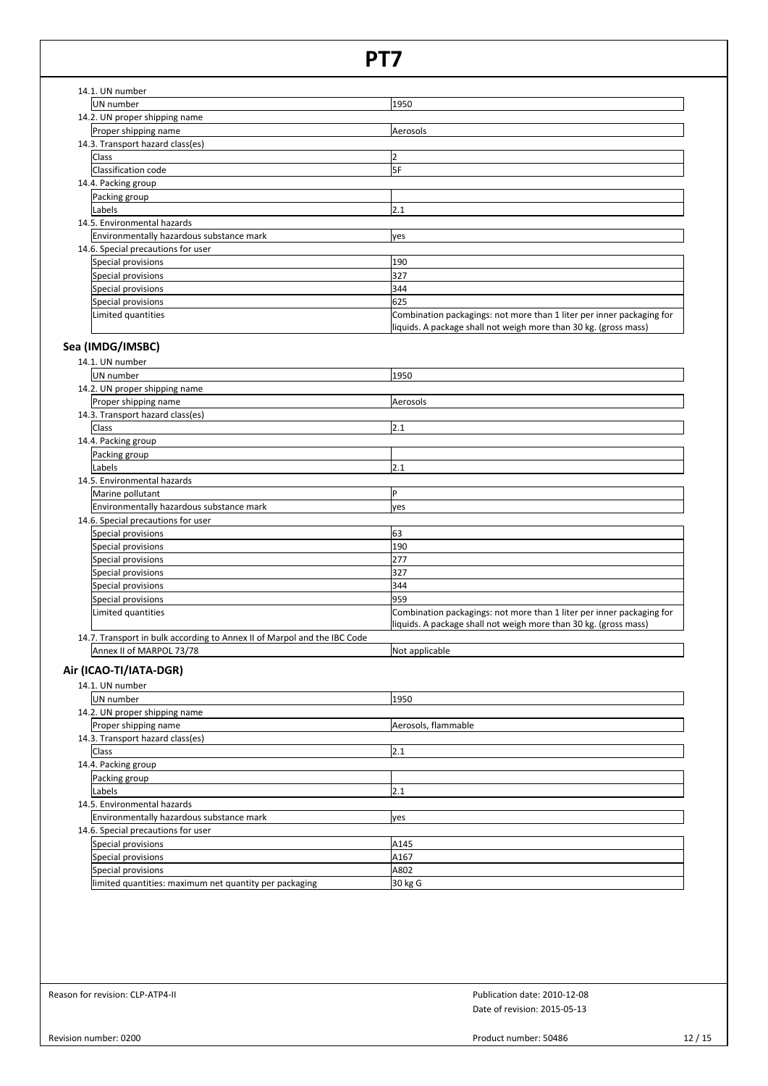| 14.1. UN number                          |                                                                                                                                           |
|------------------------------------------|-------------------------------------------------------------------------------------------------------------------------------------------|
| UN number                                | 1950                                                                                                                                      |
| 14.2. UN proper shipping name            |                                                                                                                                           |
| Proper shipping name                     | Aerosols                                                                                                                                  |
| 14.3. Transport hazard class(es)         |                                                                                                                                           |
| Class                                    |                                                                                                                                           |
| Classification code                      | <b>SF</b>                                                                                                                                 |
| 14.4. Packing group                      |                                                                                                                                           |
| Packing group                            |                                                                                                                                           |
| Labels                                   | 2.1                                                                                                                                       |
| 14.5. Environmental hazards              |                                                                                                                                           |
| Environmentally hazardous substance mark | yes                                                                                                                                       |
| 14.6. Special precautions for user       |                                                                                                                                           |
| Special provisions                       | 190                                                                                                                                       |
| Special provisions                       | 327                                                                                                                                       |
| Special provisions                       | 344                                                                                                                                       |
| Special provisions                       | 625                                                                                                                                       |
| Limited quantities                       | Combination packagings: not more than 1 liter per inner packaging for<br>liquids. A package shall not weigh more than 30 kg. (gross mass) |

# **Sea (IMDG/IMSBC)**

| 14.1. UN number                                                          |                                                                       |
|--------------------------------------------------------------------------|-----------------------------------------------------------------------|
| <b>UN</b> number                                                         | 1950                                                                  |
| 14.2. UN proper shipping name                                            |                                                                       |
| Proper shipping name                                                     | Aerosols                                                              |
| 14.3. Transport hazard class(es)                                         |                                                                       |
| <b>Class</b>                                                             | 2.1                                                                   |
| 14.4. Packing group                                                      |                                                                       |
| Packing group                                                            |                                                                       |
| Labels                                                                   | 2.1                                                                   |
| 14.5. Environmental hazards                                              |                                                                       |
| Marine pollutant                                                         | P                                                                     |
| Environmentally hazardous substance mark                                 | ves                                                                   |
| 14.6. Special precautions for user                                       |                                                                       |
| Special provisions                                                       | 63                                                                    |
| Special provisions                                                       | 190                                                                   |
| Special provisions                                                       | 277                                                                   |
| Special provisions                                                       | 327                                                                   |
| Special provisions                                                       | 344                                                                   |
| Special provisions                                                       | 959                                                                   |
| Limited quantities                                                       | Combination packagings: not more than 1 liter per inner packaging for |
|                                                                          | liquids. A package shall not weigh more than 30 kg. (gross mass)      |
| 14.7. Transport in bulk according to Annex II of Marpol and the IBC Code |                                                                       |
| Annex II of MARPOL 73/78                                                 | Not applicable                                                        |

# **Air (ICAO-TI/IATA-DGR)**

| 14.1. UN number                                        |                     |
|--------------------------------------------------------|---------------------|
| UN number                                              | 1950                |
| 14.2. UN proper shipping name                          |                     |
| Proper shipping name                                   | Aerosols, flammable |
| 14.3. Transport hazard class(es)                       |                     |
| <b>Class</b>                                           | 2.1                 |
| 14.4. Packing group                                    |                     |
| Packing group                                          |                     |
| Labels                                                 | 2.1                 |
| 14.5. Environmental hazards                            |                     |
| Environmentally hazardous substance mark               | yes                 |
| 14.6. Special precautions for user                     |                     |
| Special provisions                                     | A145                |
| Special provisions                                     | A167                |
| Special provisions                                     | A802                |
| limited quantities: maximum net quantity per packaging | 30 kg G             |

Reason for revision: CLP-ATP4-II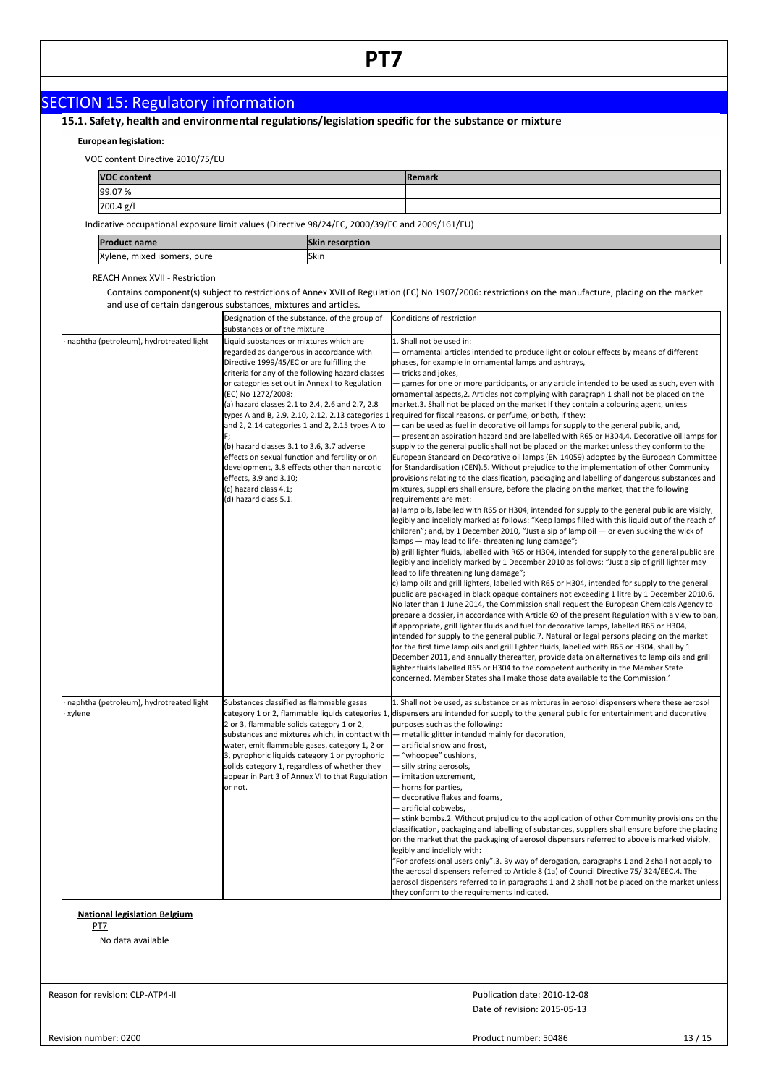# SECTION 15: Regulatory information<br>15.1. Safety, health and environmental regulations/legislation specific for the substance or mixture

# **European legislation:**

VOC content Directive 2010/75/EU

| ____<br>___        |        |
|--------------------|--------|
| <b>VOC content</b> | Remark |
| 99.07%             |        |
| 700.4 g/l          |        |
|                    |        |

Indicative occupational exposure limit values (Directive 98/24/EC, 2000/39/EC and 2009/161/EU)

| Dr.                                                    | CL:<br>ption"<br>ым |
|--------------------------------------------------------|---------------------|
| Xvlene.<br>pure<br>. isomer:<br>mixeo<br>$-$<br>$\sim$ | <b>Skin</b>         |

### REACH Annex XVII - Restriction

Contains component(s) subject to restrictions of Annex XVII of Regulation (EC) No 1907/2006: restrictions on the manufacture, placing on the market and use of certain dangerous substances, mixtures and articles.

|                                                   | Designation of the substance, of the group of<br>substances or of the mixture                                                                                                                                                                                                                                                                                                                                                                                                                                                                                                                                                                        | Conditions of restriction                                                                                                                                                                                                                                                                                                                                                                                                                                                                                                                                                                                                                                                                                                                                                                                                                                                                                                                                                                                                                                                                                                                                                                                                                                                                                                                                                                                                                                                                                                                                                                                                                                                                                                                                                                                                                                                                                                                                                                                                                                                                                                                                                                                                                                                                                                                                                                                                                                                                                                                                                                                                                                                                                                                                                                                                       |
|---------------------------------------------------|------------------------------------------------------------------------------------------------------------------------------------------------------------------------------------------------------------------------------------------------------------------------------------------------------------------------------------------------------------------------------------------------------------------------------------------------------------------------------------------------------------------------------------------------------------------------------------------------------------------------------------------------------|---------------------------------------------------------------------------------------------------------------------------------------------------------------------------------------------------------------------------------------------------------------------------------------------------------------------------------------------------------------------------------------------------------------------------------------------------------------------------------------------------------------------------------------------------------------------------------------------------------------------------------------------------------------------------------------------------------------------------------------------------------------------------------------------------------------------------------------------------------------------------------------------------------------------------------------------------------------------------------------------------------------------------------------------------------------------------------------------------------------------------------------------------------------------------------------------------------------------------------------------------------------------------------------------------------------------------------------------------------------------------------------------------------------------------------------------------------------------------------------------------------------------------------------------------------------------------------------------------------------------------------------------------------------------------------------------------------------------------------------------------------------------------------------------------------------------------------------------------------------------------------------------------------------------------------------------------------------------------------------------------------------------------------------------------------------------------------------------------------------------------------------------------------------------------------------------------------------------------------------------------------------------------------------------------------------------------------------------------------------------------------------------------------------------------------------------------------------------------------------------------------------------------------------------------------------------------------------------------------------------------------------------------------------------------------------------------------------------------------------------------------------------------------------------------------------------------------|
| naphtha (petroleum), hydrotreated light           | Liquid substances or mixtures which are<br>regarded as dangerous in accordance with<br>Directive 1999/45/EC or are fulfilling the<br>criteria for any of the following hazard classes<br>or categories set out in Annex I to Regulation<br>(EC) No 1272/2008:<br>(a) hazard classes 2.1 to 2.4, 2.6 and 2.7, 2.8<br>types A and B, 2.9, 2.10, 2.12, 2.13 categories 1<br>and 2, 2.14 categories 1 and 2, 2.15 types A to<br>(b) hazard classes 3.1 to 3.6, 3.7 adverse<br>effects on sexual function and fertility or on<br>development, 3.8 effects other than narcotic<br>effects, 3.9 and 3.10;<br>(c) hazard class 4.1;<br>(d) hazard class 5.1. | 1. Shall not be used in:<br>- ornamental articles intended to produce light or colour effects by means of different<br>phases, for example in ornamental lamps and ashtrays,<br>- tricks and jokes,<br>- games for one or more participants, or any article intended to be used as such, even with<br>ornamental aspects, 2. Articles not complying with paragraph 1 shall not be placed on the<br>market.3. Shall not be placed on the market if they contain a colouring agent, unless<br>required for fiscal reasons, or perfume, or both, if they:<br>- can be used as fuel in decorative oil lamps for supply to the general public, and,<br>- present an aspiration hazard and are labelled with R65 or H304,4. Decorative oil lamps for<br>supply to the general public shall not be placed on the market unless they conform to the<br>European Standard on Decorative oil lamps (EN 14059) adopted by the European Committee<br>for Standardisation (CEN).5. Without prejudice to the implementation of other Community<br>provisions relating to the classification, packaging and labelling of dangerous substances and<br>mixtures, suppliers shall ensure, before the placing on the market, that the following<br>requirements are met:<br>a) lamp oils, labelled with R65 or H304, intended for supply to the general public are visibly,<br>legibly and indelibly marked as follows: "Keep lamps filled with this liquid out of the reach of<br>children"; and, by 1 December 2010, "Just a sip of lamp oil $-$ or even sucking the wick of<br>lamps - may lead to life-threatening lung damage";<br>b) grill lighter fluids, labelled with R65 or H304, intended for supply to the general public are<br>legibly and indelibly marked by 1 December 2010 as follows: "Just a sip of grill lighter may<br>lead to life threatening lung damage";<br>c) lamp oils and grill lighters, labelled with R65 or H304, intended for supply to the general<br>public are packaged in black opaque containers not exceeding 1 litre by 1 December 2010.6.<br>No later than 1 June 2014, the Commission shall request the European Chemicals Agency to<br>prepare a dossier, in accordance with Article 69 of the present Regulation with a view to ban,<br>if appropriate, grill lighter fluids and fuel for decorative lamps, labelled R65 or H304,<br>intended for supply to the general public.7. Natural or legal persons placing on the market<br>for the first time lamp oils and grill lighter fluids, labelled with R65 or H304, shall by 1<br>December 2011, and annually thereafter, provide data on alternatives to lamp oils and grill<br>lighter fluids labelled R65 or H304 to the competent authority in the Member State<br>concerned. Member States shall make those data available to the Commission.' |
| naphtha (petroleum), hydrotreated light<br>xylene | Substances classified as flammable gases<br>category 1 or 2, flammable liquids categories 1<br>2 or 3, flammable solids category 1 or 2,<br>water, emit flammable gases, category 1, 2 or<br>3, pyrophoric liquids category 1 or pyrophoric<br>solids category 1, regardless of whether they<br>appear in Part 3 of Annex VI to that Regulation<br>or not.                                                                                                                                                                                                                                                                                           | 1. Shall not be used, as substance or as mixtures in aerosol dispensers where these aerosol<br>dispensers are intended for supply to the general public for entertainment and decorative<br>purposes such as the following:<br>substances and mixtures which, in contact with $-$ metallic glitter intended mainly for decoration,<br>- artificial snow and frost,<br>- "whoopee" cushions,<br>- silly string aerosols,<br>- imitation excrement,<br>- horns for parties,<br>- decorative flakes and foams,<br>— artificial cobwebs,<br>- stink bombs.2. Without prejudice to the application of other Community provisions on the<br>classification, packaging and labelling of substances, suppliers shall ensure before the placing<br>on the market that the packaging of aerosol dispensers referred to above is marked visibly,<br>legibly and indelibly with:<br>"For professional users only".3. By way of derogation, paragraphs 1 and 2 shall not apply to<br>the aerosol dispensers referred to Article 8 (1a) of Council Directive 75/ 324/EEC.4. The<br>aerosol dispensers referred to in paragraphs 1 and 2 shall not be placed on the market unless<br>they conform to the requirements indicated.                                                                                                                                                                                                                                                                                                                                                                                                                                                                                                                                                                                                                                                                                                                                                                                                                                                                                                                                                                                                                                                                                                                                                                                                                                                                                                                                                                                                                                                                                                                                                                                                               |

# **National legislation Belgium**

PT7

No data available

Reason for revision: CLP-ATP4-II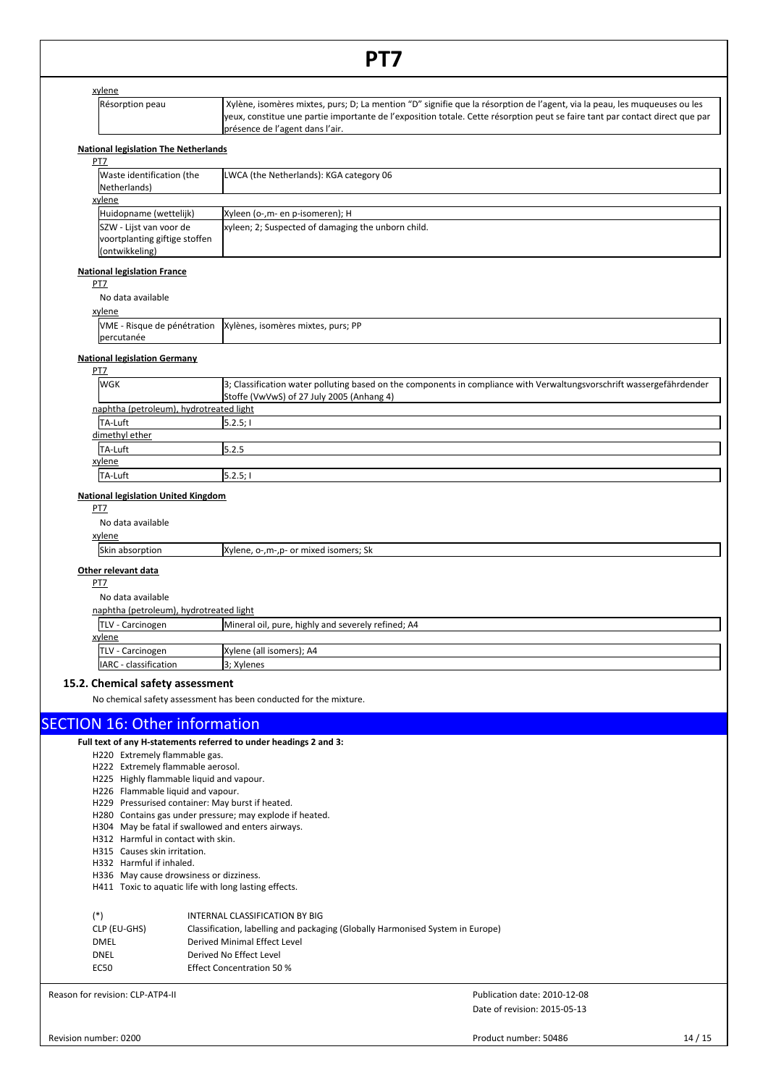|                                                                               | PT7                                                                                                                                                                                                                                                                                          |
|-------------------------------------------------------------------------------|----------------------------------------------------------------------------------------------------------------------------------------------------------------------------------------------------------------------------------------------------------------------------------------------|
|                                                                               |                                                                                                                                                                                                                                                                                              |
| xylene<br>Résorption peau                                                     | Xylène, isomères mixtes, purs; D; La mention "D" signifie que la résorption de l'agent, via la peau, les muqueuses ou les<br>yeux, constitue une partie importante de l'exposition totale. Cette résorption peut se faire tant par contact direct que par<br>présence de l'agent dans l'air. |
| <b>National legislation The Netherlands</b>                                   |                                                                                                                                                                                                                                                                                              |
| PT7                                                                           |                                                                                                                                                                                                                                                                                              |
| Waste identification (the<br>Netherlands)                                     | LWCA (the Netherlands): KGA category 06                                                                                                                                                                                                                                                      |
| xylene                                                                        |                                                                                                                                                                                                                                                                                              |
| Huidopname (wettelijk)                                                        | Xyleen (o-,m- en p-isomeren); H                                                                                                                                                                                                                                                              |
| SZW - Lijst van voor de<br>voortplanting giftige stoffen<br>(ontwikkeling)    | xyleen; 2; Suspected of damaging the unborn child.                                                                                                                                                                                                                                           |
| <b>National legislation France</b><br>PT7                                     |                                                                                                                                                                                                                                                                                              |
| No data available<br>xylene                                                   |                                                                                                                                                                                                                                                                                              |
| VME - Risque de pénétration<br>percutanée                                     | Xylènes, isomères mixtes, purs; PP                                                                                                                                                                                                                                                           |
| <b>National legislation Germany</b><br>PT7                                    |                                                                                                                                                                                                                                                                                              |
| <b>WGK</b>                                                                    | 3; Classification water polluting based on the components in compliance with Verwaltungsvorschrift wassergefährdender<br>Stoffe (VwVwS) of 27 July 2005 (Anhang 4)                                                                                                                           |
| naphtha (petroleum), hydrotreated light                                       |                                                                                                                                                                                                                                                                                              |
| TA-Luft                                                                       | 5.2.5;                                                                                                                                                                                                                                                                                       |
| dimethyl ether                                                                |                                                                                                                                                                                                                                                                                              |
| TA-Luft                                                                       | 5.2.5                                                                                                                                                                                                                                                                                        |
| xylene                                                                        |                                                                                                                                                                                                                                                                                              |
| TA-Luft                                                                       | 5.2.5;                                                                                                                                                                                                                                                                                       |
| xylene<br>Skin absorption<br>Other relevant data                              | Xylene, o-, m-, p- or mixed isomers; Sk                                                                                                                                                                                                                                                      |
| PT7<br>No data available                                                      |                                                                                                                                                                                                                                                                                              |
| naphtha (petroleum), hydrotreated light                                       |                                                                                                                                                                                                                                                                                              |
| TLV - Carcinogen<br><u>xylene</u>                                             | Mineral oil, pure, highly and severely refined; A4                                                                                                                                                                                                                                           |
| TLV - Carcinogen                                                              | Xylene (all isomers); A4                                                                                                                                                                                                                                                                     |
| IARC - classification                                                         | 3; Xylenes                                                                                                                                                                                                                                                                                   |
| 15.2. Chemical safety assessment                                              | No chemical safety assessment has been conducted for the mixture.                                                                                                                                                                                                                            |
| <b>SECTION 16: Other information</b>                                          |                                                                                                                                                                                                                                                                                              |
|                                                                               | Full text of any H-statements referred to under headings 2 and 3:                                                                                                                                                                                                                            |
| H220 Extremely flammable gas.                                                 |                                                                                                                                                                                                                                                                                              |
| H222 Extremely flammable aerosol.                                             |                                                                                                                                                                                                                                                                                              |
| H225 Highly flammable liquid and vapour.<br>H226 Flammable liquid and vapour. |                                                                                                                                                                                                                                                                                              |
| H229 Pressurised container: May burst if heated.                              |                                                                                                                                                                                                                                                                                              |
|                                                                               | H280 Contains gas under pressure; may explode if heated.                                                                                                                                                                                                                                     |
| H304 May be fatal if swallowed and enters airways.                            |                                                                                                                                                                                                                                                                                              |
| H312 Harmful in contact with skin.                                            |                                                                                                                                                                                                                                                                                              |
| H315 Causes skin irritation.<br>H332 Harmful if inhaled.                      |                                                                                                                                                                                                                                                                                              |
| H336 May cause drowsiness or dizziness.                                       |                                                                                                                                                                                                                                                                                              |
| H411 Toxic to aquatic life with long lasting effects.                         |                                                                                                                                                                                                                                                                                              |
| $(*)$                                                                         | INTERNAL CLASSIFICATION BY BIG                                                                                                                                                                                                                                                               |
| CLP (EU-GHS)                                                                  | Classification, labelling and packaging (Globally Harmonised System in Europe)                                                                                                                                                                                                               |
| <b>DMEL</b>                                                                   | Derived Minimal Effect Level                                                                                                                                                                                                                                                                 |
| <b>DNEL</b>                                                                   | Derived No Effect Level                                                                                                                                                                                                                                                                      |
| <b>EC50</b>                                                                   | <b>Effect Concentration 50 %</b>                                                                                                                                                                                                                                                             |

Reason for revision: CLP-ATP4-II